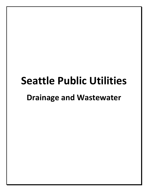# **Seattle Public Utilities Drainage and Wastewater**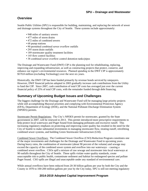## **Overview**

Seattle Public Utilities (SPU) is responsible for building, maintaining, and replacing the network of sewer and drainage systems throughout the City of Seattle. These systems include approximately:

- 948 miles of sanitary sewers
- 477 miles of storm drains
- 472 miles of combined sewers
- 68 pump stations
- 90 permitted combined sewer overflow outfalls
- 295 storm drain outfalls
- 189 stormwater quality treatment facilities
- 145 flow control facilities
- 38 combined sewer overflow control detention tanks/pipes

The Drainage and Wastewater Fund (DWF) CIP is the planning tool for rehabilitating, replacing, improving and expanding infrastructure, as well as constructing projects that protect, conserve, and enhance our region's environmental resources. Planned spending in the DWF CIP is approximately \$570.8 million (excluding Technology) over the next six years.

Historically, the DWF CIP has been funded primarily by revenue bonds serviced by ratepayers. However, DWF financial policies adopted in 2003 gradually increase cash contributions from the Utility to fund the CIP. Since 2007, cash contribution of total CIP costs has averaged just over the current financial policy of 25% of total CIP costs, with the remainder funded through debt financing.

## **Summary of Upcoming Budget Issues and Challenges**

The biggest challenge for the Drainage and Wastewater Fund will be managing large priority projects while still accomplishing Mayoral priorities and complying with Environmental Protection Agency (EPA), Department of Ecology (DOE), and the National Pollutant Discharge Elimination System (NPDES) permits.

Stormwater Permit Regulations: The City's NPDES permit for stormwater, granted by the State government in 2007, will be renewed in 2013. This permit introduced more prescriptive requirements to help protect local waterways and Puget Sound from damaging pollutants and excessive runoff. This increasing regulatory emphasis on protecting and improving water quality has resulted in the need for the City of Seattle to make substantial investments in managing stormwater flow, treating runoff, retrofitting combined sewer systems, and building Green Stormwater Infrastructure (GSI).

Combined Sewer Overflows: The Combined Sewer Overflow (CSO) Reduction Program constitutes one of the major investments and challenges for the Drainage and Wastewater Fund in upcoming years. During heavy rains, the combination of stormwater (about 90 percent of the volume) and sewage may exceed the capacity of the combined sewer system and overflow into our waterways – causing a combined sewer overflow. CSOs spill a mixture of raw sewage and stormwater into local waterways at 90 outfalls throughout the City of Seattle. These spills violate water quality standards, create unacceptable risk to public health, contaminate sediment and habitat for endangered species and pollute Puget Sound. CSO spills are illegal and unacceptable under any standard of environmental care.

While annual overflows have been reduced from 20-30 billion gallons per year by both the City and the County in 1970 to 100-200 million gallons per year by the City today, SPU is still not meeting regulatory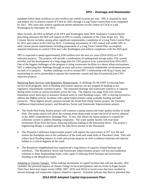mandates which limit overflows to one overflow per outfall location per year. SPU is required by state and federal law to achieve control of CSOs by 2025 through a Long Term Control Plan to be completed by 2015. SPU must also achieve significant permit milestones for the control of CSOs to Lake Washington by December 30, 2015.

Most recently, the DOJ on behalf of the EPA and Washington State DOE finalized a Consent Decree describing measures the DOJ will require of SPU to remedy violations of the Clean Water Act. The Consent Decree includes, among other significant requirements, completion of a Long Term Control Plan by 2015 and control of all CSOs by 2025. Continuing investments in CSO control will enable SPU to meet current permit requirements including preparation of a Long Term Control Plan, accomplish required milestones to control CSOs into Lake Washington and achieve compliance with the 2025 goal.

SPU is expected to spend approximately \$283 million over the next six years (2014-2019) on CSO reduction projects. The projects will include a combination of underground storage tanks, GSI, system retrofits, and the development of a long-range plan for CSO projects to be constructed from 2016-2025. One of the biggest challenges of the program is siting wastewater facilities in a dense urban environment. SPU is addressing that challenge through an early and active community/stakeholder involvement process on each of its projects. Another challenge revolves around SPU's relationship with King County and maintaining an active partnership to operate the wastewater system and plan for potential joint CSO reduction projects.

Balancing Basic Services with Regulatory Requirements: A challenge for the DWF is ensuring basic service level programs, such as flooding and system capacity, are not stripped of funding as our regulatory requirements continue to grow. The separated drainage and wastewater system is at capacity during storm events at various locations across the City. The impacts can range from very serious (basement sewer back-ups) to nuisance (limited street or yard flooding) issues. SPU is moving forward to address the highest priority locations with capital improvements using available funding and staff resources. These highest priority projects include the South Park Pump Station project, the Thornton Confluence Improvement project, and Broadview Sewer and Stormwater Improvements project.

- The South Park Pump Station project will construct a pump station and water quality facility in South Park. The pump station will allow the existing storm drain trunk to meet the level of service adopted in the 2004 Comprehensive Drainage Plan. In turn, this allows for future projects to expand the collection system to address flooding complaints. The water quality facility will treat most stormwater flows from the basin, reducing pollutant loading to the Duwamish River. The project's engineering design is complicated by the tidal flows present in the Duwamish.
- The Thornton Confluence Improvement project will replace the road culvert at  $35<sup>th</sup>$  Ave NE and restore the floodplain area at the confluence of the north and south forks of Thornton Creek. This will reduce local flooding impacts to roads and private property as well as enhance instream and riparian habitat in a critical segment of the creek.
- The Broadview neighborhood has experienced a long history of capacity-related backups and overflows. The Broadview Sewer and Stormwater Improvements project will test non-traditional solutions to these longstanding issues, with a goal of reducing sewer backups and stormwater flooding in the Broadview basin.

Adapting to Climate Changes: When making investments in capital facilities that will last decades, SPU considers the potential impacts of climate change on local precipitation and sea levels in Puget Sound. There have been four major storms (2006, 2007, 2010, and 2012) in recent years that have resulted in serious drainage and wastewater impacts related to capacity. Scientists indicate that there is potential that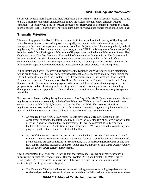storms will become more intense and more frequent in the near future. This variability requires the utility to have a much more in-depth understanding of how the system functions under different weather conditions. The utility will need to forecast impacts to the stormwater and combined systems on a much more localized level. This type of work will require more fully developed system models than in the past.

## **Thematic Priorities**

The overriding goal of the DWF CIP is to construct facilities that reduce the frequency of flooding and sewer backups for customers and improve water quality and habitat in the environment by reducing sewage overflows and the impacts of stormwater pollution. Projects in the CIP are also guided by federal regulations, City policies, long-term plan documents, and the SPU Asset Management Committee (AMC) benefit criteria. Many Drainage and Wastewater CIP projects are outlined in the Wastewater System Plan, Combined Sewer Overflow Reduction Plan, and the Comprehensive Drainage Plan. The Drainage and Wastewater Fund considers three main criteria when prioritizing work: public health and safety, environmental protection/regulatory requirements, and Mayor/Council priorities. Project timing can be influenced by opportunities or requirements to combine construction activity with other projects.

Public Health and Safety: The overriding priority for the Drainage and Wastewater Fund is maintaining public health and safety. This will be accomplished through capital programs and projects including the 14<sup>th</sup> and Concord Combined Sewer System (CSS) Improvement project, the Localized Flood Control Program, the Broadview Sanitary Sewer Overflow (SSO) reduction program and the South Park Pump Station project. The primary Capital program is the sewer and drainage rehabilitation program. This program is focused on identifying and correcting defective or deteriorating infrastructure, including drainage and wastewater pipes, before failure which could result in sewer backups, roadway collapses or landslides.

Environmental Protection/Regulatory Requirements: The City of Seattle/SPU must meet state and federal regulatory requirements to comply with the Clean Water Act (CWA) and the Consent Decree that was entered in court on July 3, 2013, between the City, the EPA and DOJ. The two most significant regulatory drivers associated with the CWA are the NPDES Waste Discharge Permit (aka NPDES CSO Permit) and the NPDES Phase I Municipal Stormwater Permit (aka NDPES MS4 Permit).

- As required by the NPDES CSO Permit, Seattle developed a 2010 CSO Reduction Plan Amendment to describe the effort to reduce CSOs to the state standard of one overflow per outfall per year. As part of meeting these requirements, SPU will be constructing CSO reduction facilities at Windermere, South Genesee, and Henderson. DWF is committed to completing this program by 2025 at an estimated cost of \$500 million.
- As part of the NPDES MS4 Permit, Seattle is required to have a Structural Stormwater Control Program to address stormwater impacts that are not adequately controlled through other required permit actions. As part of meeting this requirement, SPU is constructing stormwater quality and flow control facilities including South Park Pump Station, the Capitol Hill Water Quality Facility, and Broadview sewer system improvements.

Green Stormwater: Projects in the 6-year CIP that specifically address environmentally sustainable infrastructure include the Venema Natural Drainage System (NDS) and Capitol Hill Water Quality Facility where green stormwater infrastructure will be used to reduce stormwater impacts while contributing to meeting sustainability goals.

 The Venema NDS project will construct natural drainage elements including large bioretention swales and permeable pavement in alleys. A swale is a specially designed area where stormwater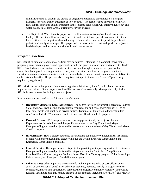can infiltrate into or through the ground or vegetation, depending on whether it is designed primarily for water quality treatment or flow control. The result will be improved stormwater flow control and water quality treatment in the Venema basin which will improve hydrology and water quality in Venema Creek, a tributary of Piper's Creek.

• The Capitol Hill Water Quality project will result in an innovative regional scale stormwater facility. The facility will include vegetated bioswales which will provide stormwater treatment for a portion of the largest sub-basin draining to South Lake Union while providing a vibrant pedestrian-friendly streetscape. This project will be constructed in partnership with an adjacent land developed and includes new sidewalks and road surfaces.

# **Project Selection**

SPU identifies candidate capital projects from several sources – planning (e.g. comprehensive plans, program plans), external projects and opportunities, and emergencies or other unexpected events. Under SPU's Asset Management system, projects must be justified through a business case process that establishes that a problem or opportunity is timely and important, and that the proposed solution is superior to alternatives based on a triple bottom line analysis (economic, environmental and social) of life cycle costs and benefits. The process also recognizes that a project may be a "must do" project (e.g. required by regulation).

SPU prioritizes its capital projects into three categories – Priorities 1, 2 and 3, with 1 being the most important and critical. Some projects are identified as part of an externally driven project. Typically, SPU lacks control over the timing of such projects.

Priority rankings are based on the following set of criteria:

- **Regulatory Mandates, Legal Agreements:** The degree to which the project is driven by Federal, State, and Local laws, permit and regulatory requirements, and consent decrees; as well as by legal agreements with public and private parties. Examples of highly ranked projects in this category include the Windermere, South Genesee and Henderson CSO projects.
- **External Drivers:** SPU's responsiveness to, or engagement with, the projects of other Departments or Jurisdictions, and the specific mandates of the City Council and Mayor. Examples of highly ranked projects in this category include the Alaskan Way Viaduct and Mercer Corridor projects.
- Infrastructure: How a project addresses infrastructure conditions or vulnerabilities. Examples of highly ranked projects in this category include the Point Sewer Pipe Rehabilitation and Emergency Rehabilitation programs.
- **Level of Service:** The importance of this project in providing or improving services to customers. Examples of highly ranked projects in this category include the South Park Pump Station, Localized Flood Control program, Sanitary Sewer Overflow Capacity program, Point Sewer Pipe Rehabilitation, and Emergency Rehabilitation programs.
- Other Factors: Other important factors include high net present value or cost-effectiveness, social or environmental benefits not otherwise captured, a project already in progress or near completion, limited time opportunity, demonstration projects, community visibility, and outside funding. Examples of highly ranked projects in this category include the North  $107<sup>th</sup>$  and Midvale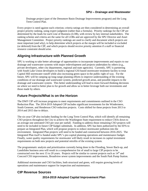Drainage project (part of the Densmore Basin Drainage Improvements program) and the Long Term Control Plan.

Every project is rated against each criterion; criteria ratings are then considered in determining an overall project priority ranking, using expert judgment (rather than a formula). Priority rankings for the CIP are determined by the leads for each Line of Business (LOB), with review by key internal stakeholders. The ranking scheme and criteria are the same for all LOBs and are approved by the SPU Director and Asset Management Committee. Project priority rankings are used to clarify and document which projects are most important (and why), to help determine which projects at the margin will be included or excluded (or deferred) from the CIP, and which projects should receive priority attention if a staff or financial resource constraint should arise.

## **Aligning Infrastructure with Planned Growth**

SPU is working to take better advantage of opportunities to incorporate improvements and repairs to our drainage and wastewater systems with major redevelopment and projects undertaken by others (e.g., private developers, other city departments, regional and state agencies). Currently, SPU is partnering with South Lake Union developers to build a regional GSI-based stormwater treatment facility to treat Capitol Hill stormwater runoff while also increasing green space in the public right of way. For the future, SPU will be ramping up long-range planning efforts to improve understanding of the existing conditions of our drainage and wastewater system, predicted growth areas, and possible impacts to the drainage and wastewater system. This better understanding will lead to more forward thinking decisions on where we need to better plan to for growth and allow us to better leverage both our investments and those made by others.

## **Future Projects/What is on the Horizon**

The DWF CIP will increase programs to meet requirements and commitments outlined in the CSO Reduction Plan. The 2014-2019 Adopted CIP includes significant investments for the Windermere, South Genesee, and Henderson CSO reduction projects. Costs shifted for these projects from 2013 to 2014 and 2015 due to delays.

The six-year CIP also includes funding for the Long Term Control Plan, which will identify all remaining CSO projects throughout the City to achieve the Washington State requirement to reduce CSOs down to an average one untreated CSO per year per outfall. Funding to address those remaining CSO projects will need to be included in future CIP budget submittals. In addition, SPU has been authorized by the EPA to prepare an Integrated Plan, which will propose projects to reduce stormwater pollution into the environment. Integrated Plan projects will need to be funded and constructed between 2016-2025. The Integrated Plan itself is funded under SPU's pre-capital planning operations and maintenance budget. Finally, water quality requirements for stormwater will likely result in increases in capital investment requirements on both new projects and potential retrofits of the existing system.

The programmatic analysis and prioritization currently being done in the Flooding, Sewer Back-up, and Landslides business area will result in a comprehensive list of small to large CIP projects to be constructed over the next 15 to 20 years. Projects will be similar to current projects such as  $14<sup>th</sup>$  and Concord CSS improvements, Broadview sewer system improvements and the South Park Pump Station.

Additional stormwater and CSO facilities, both structural and green, will require growing levels of operations and maintenance support for inspection and maintenance.

# **CIP Revenue Sources**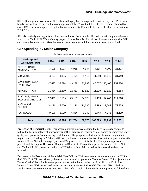SPU's Drainage and Wastewater CIP is funded largely by Drainage and Sewer ratepayers. SPU issues bonds, serviced by ratepayers that cover approximately 75% of the CIP, with the remainder funded by cash. DWF rates were approved by the Executive and City Council last year for the three-year period of 2013-2015.

SPU also actively seeks grants and low interest loans. For example, SPU will be utilizing a low-interest loan on the Capitol Hill Water Quality project. Loans like this offer a lower interest rate than what SPU can borrow/issue debt and offset the need to draw down extra dollars from the construction fund.

# **CIP Spending by Major Category**

| <b>Drainage and</b><br><b>Wastewater Fund</b>     | 2014    | 2015   | 2016    | 2017    | 2018    | 2019   | <b>Total</b> |
|---------------------------------------------------|---------|--------|---------|---------|---------|--------|--------------|
| PROTECTION OF<br><b>BENEFICIAL USES</b>           | 3,195   | 3,003  | 6,985   | 4,347   | 4,695   | 4,000  | 26,225       |
| <b>SEDIMENTS</b>                                  | 3,423   | 4,396  | 1,491   | 1,410   | 11,610  | 11,610 | 33,940       |
| <b>COMBINED SEWER</b><br><b>OVERFLOWS</b>         | 47,697  | 39,584 | 49,239  | 46,988  | 40,627  | 30,400 | 254,534      |
| <b>REHABILITATION</b>                             | 11,864  | 12,360 | 12,880  | 11,520  | 11,520  | 11,520 | 71,664       |
| FLOODING, SEWER<br><b>BACKUP &amp; LANDSLIDES</b> | 17,025  | 15,505 | 23,189  | 24,520  | 17,199  | 14,242 | 111,680      |
| <b>SHARED COST</b><br><b>PROJECTS</b>             | 14,196  | 8,550  | 12,116  | 14,035  | 13,789  | 9,742  | 72,428       |
| <b>TECHNOLOGY</b>                                 | 9,196   | 8,929  | 6,884   | 6,149   | 6,443   | 4,778  | 42,379       |
| <b>Total</b>                                      | 106,596 | 92,326 | 112,784 | 108,970 | 105,883 | 86,292 | 612,851      |

(In '000s; total may not sum due to rounding)

**Protection of Beneficial Uses:** This program makes improvements to the City's drainage system to reduce the harmful effects of stormwater runoff on creeks and receiving water bodies by improving water quality and protecting or enhancing creek habitat. The program includes projects to meet regulatory requirements. Funding in 2014 and 2015 will be focused on cost effective stormwater projects such as the Venema Creek Natural Drainage System (NDS) project, the Knickerbocker Floodplain Improvement project, and the Capitol Hill Water Quality (WQ) project. Two of these projects (Venema Creek NDS and Capital Hill WQ) were put on hold in 2009 due to financial constraints, but have since been reinstated.

Decreases in the **Protection of Beneficial Uses BCL** in 2014, compared to amounts adopted in 2013 in the 2013-2018 CIP, are primarily the result of a reduced scope for the Venema Creek NDS project and the Taylor Creek Culvert Replacement project construction being pushed out from 2014 to 2016. The Venema Creek NDS project no longer constructing swales on 2nd Ave NW between NW 122nd and 125th Streets due to community concerns. The Taylor Creek Culvert Replacement project is delayed and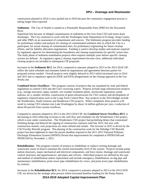construction planned in 2014 is now pushed out to 2016 because the community engagement process is taking longer than expected.

**Sediments**: The City of Seattle is named as a Potentially Responsible Party (PRP) for the Duwamish River

Superfund Site because of alleged contamination of sediments in the river from CSO and storm drain discharges. The City continues to work with the Washington State Department of Ecology, King County, and other PRPs on an assessment of contaminants and sources. The Sediments program provides funding for preliminary studies and analysis for cleanup of contaminated sediment sites in which the City is a participant, for actual cleanup of contaminated sites, for preliminary engineering for future cleanup efforts, and for liability allocation negotiations. Funding is used to develop studies and analyses required by regulatory agencies for determining the boundaries and cleanup requirements for specific action sites. The study phase of sediment remediation projects often requires multiple years before specific cleanup actions are defined. As regulatory agency cleanup requirements become clear, additional individual cleanup projects are included in subsequent CIP proposals.

Increases in the **Sediments BCL** for 2014, compared to amounts adopted in 2013 in the 2013-2018 CIP, reflect the latest schedule and estimates based on negotiations and agreements between parties for proposed actions needed. Overall projects were slightly delayed in 2013 which increased costs in 2014 and 2015 due to regulatory agencies (DOE and EPA) disagreement on the cleanup approach at the Gas Works site.

**Combined Sewer Overflows:** This program consists of projects that are mandated by state and federal regulations to control CSOs into the City's receiving waters. Projects include large infrastructure projects (e.g., storage structures, pipes, tunnels, wet weather treatment plants, stormwater separation, pump stations, etc.), smaller retrofits, construction of green infrastructure for CSO control, and development of regulatory required plans such as the Long-Term Control Plan. Key projects in the 2014 Budget include the Windermere, South Genesee and Henderson CSO projects. When completed, these projects will result in cutting CSO volumes into Lake Washington by about 14 million gallons per year, a reduction of about 60 percent from current overflows.

Compared to amounts adopted in 2013 in the 2013-2018 CIP, the **Combined Sewer Overflows BCL** is decreasing in 2014 reflecting revisions to the cash flow and schedules for the Windermere CSO project, which is now under construction. The Windermere CSO project had permitting delays that constrained finishing design and delayed the signing of construction contracts until late 2012, but now with construction started, costs projections are more refined and certain. The increase in 2015 is driven by the CSO Facility Retrofit program. The phasing of the construction work for the Delridge CSO Retrofit project has been tightened to meet the permit deadline required in the 2011-2015 National Pollutant Discharge Elimination System (NPDES) Permit that improvements be completed at NPDES168 and NPDES169 by November 1, 2015.

**Rehabilitation:** This program consists of projects to rehabilitate or replace existing drainage and wastewater assets in-kind to maintain the current functionality level of the system. Projects include pump station structures, major mechanical and electrical components, and force mains; drainage and wastewater control structures and appurtenances; and pipes and culverts. Individual projects are defined by the type and method of rehabilitation and/or replacement and include emergency rehabilitation, no-dig pipe and maintenance rehabilitation, point sewer pipe rehabilitation by crews, and point sewer pipe rehabilitation by contract.

Increases in the **Rehabilitation BCL** for 2014, compared to amounts adopted in 2013 in the 2013-2018 CIP, are driven by the strategic plan process which increased baseline funding for the Pump Station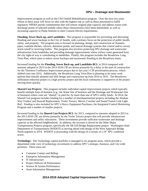Improvements program as well as the CSO Outfall Rehabilitation program. Over the next two years efforts in these areas will focus on sites with the highest risk as well as those prioritized to fulfill regulatory NPDES permit commitments that will restore original pipe capacity and address issues with discharge points of selected outfalls where these characteristics have been diminished, as well as increasing capacity to Pump Stations to meet Consent Decree requirements.

**Flooding, Sewer Back-up, and Landslides:** This program is responsible for preventing and alleviating flooding and sewer backups in the City of Seattle, with a primary focus on the protection of public health, safety, and property. The program area is focused on planning, design, and construction of channels, pipes, roadside ditches, culverts, detention ponds, and natural drainage systems that control and/or convey storm runoff to receiving bodies. This program also involves protecting SPU drainage and wastewater infrastructure from landslides and providing drainage improvements where surface water generated from the city right-of way is contributing to landslides. Finally, this program includes the Broadview Long Term Plan, which aims to reduce sewer backups and stormwater flooding in the Broadview basin.

Increased funding for the **Flooding, Sewer Back-up, and Landslides BCL** in 2014 compared with amounts adopted in 2013 in the 2013-2018 CIP are driven primarily by a delay in the start of construction for the Thornton Confluence Improvement project due to last year's CIP prioritization process, which shifted costs into 2014. Additionally, the Broadview Long Term Plan is planning to do more work upfront than initially planned and shift design and construction up from 2016 to 2015. The Broadview infiltration reduction project is a high priority project and the local community is supportive of the project moving more quickly.

**Shared Cost Projects**: This program includes individual capital improvement projects which typically benefit multiple lines of business (e.g., the Water line of business and the Drainage and Wastewater line of business) where costs are "shared," or paid for, by more than one of SPU's utility funds. In 2014, the Shared Cost program includes funding for a number of interdepartmental projects including the Alaskan Way Viaduct and Seawall Replacement, Yesler Terrace, Mercer Corridor and Sound Transit Link Light Rail. Funding is also included for SPU's Heavy Equipment Purchases, the Integrated Control Monitoring Program and a number of smaller projects.

Increased funding in the **Shared Cost Projects BCL** for 2013, compared to amounts adopted in 2013 in the 2013-2018 CIP, are driven primarily by the Yesler Terrace project that will provide infrastructure improvements and utility relocations. These investments provide sufficient wastewater and drainage capacity in the affected neighborhood. In addition, the increase is driven by the Other Major Transportation Projects program, specifically the SR-520 Bridge Replacement project. Washington State Department of Transportation (WSDOT) is moving ahead with design of the West Approach Bridge North segment in 2014. WSDOT is proceeding with the design of a reroute of a 24" SPU combined sewer.

**Technology:** The Technology capital portfolio is managed in six program areas, which provide a department-wide view of technology investments to address SPU's strategic, business, and City-wide priorities. These areas are:

- Customer Contact and Billing
- Enterprise Information Management
- IT Infrastructure
- Project Delivery & Performance
- Science & System Performance
- Asset Information Management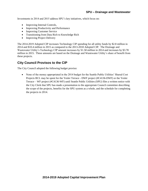Investments in 2014 and 2015 address SPU's key initiatives, which focus on:

- Improving Internal Controls,
- Improving Productivity and Performance
- Improving Customer Service
- Transitioning from Data Rich to Knowledge Rich
- Improving Project Delivery

The 2014-2019 Adopted CIP increases Technology CIP spending for all utility funds by \$2.8 million in 2014 and \$10.4 million in 2015 as compared to the 2013-2018 Adopted CIP. The Drainage and Wastewater Utility's Technology CIP amount increases by \$1.58 million in 2014 and increases by \$3.78 million in 2015. These amounts are based on the Drainage and Wastewater Utility's share of benefit from these projects.

## **City Council Provisos to the CIP**

The City Council adopted the following budget proviso:

• None of the money appropriated in the 2014 budget for the Seattle Public Utilities' Shared Cost Projects BCL may be spent for the Yesler Terrace - DWF project (#C4136-DWF) or the Yesler Terrace – WF project (#C4136-WF) until Seattle Public Utilities (SPU) files a written notice with the City Clerk that SPU has made a presentation to the appropriate Council committee describing the scope of the projects, benefits for the SPU system as a whole, and the schedule for completing the projects in 2014.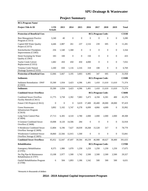| <b>BCL/Program Name/</b>                                     |                              |              |                  |                  |                  |                          |                  |                  |              |
|--------------------------------------------------------------|------------------------------|--------------|------------------|------------------|------------------|--------------------------|------------------|------------------|--------------|
| Project Title & ID                                           | <b>LTD</b><br><b>Actuals</b> | 2013         | 2014             | 2015             | 2016             | 2017                     | 2018             | 2019             | <b>Total</b> |
| <b>Protection of Beneficial Uses</b>                         |                              |              |                  |                  |                  | <b>BCL/Program Code:</b> |                  |                  | <b>C333B</b> |
| <b>Best Management Practice</b><br>Program (C3313)           | 3,240                        | 40           | $\boldsymbol{0}$ | $\boldsymbol{0}$ | $\boldsymbol{0}$ | $\boldsymbol{0}$         | $\mathbf{0}$     | $\mathbf{0}$     | 3,280        |
| Capitol Hill Water Quality<br>Project (C3373)                | 4,446                        | 2,887        | 261              | 237              | 2,516            | 239                      | 695              | 0                | 11,281       |
| Knickerbocker Floodplain<br>Improvements (C3383)             | 256                          | 1,540        | 1,368            | $\boldsymbol{0}$ | $\mathbf{0}$     | $\mathbf{0}$             | $\mathbf{0}$     | $\mathbf{0}$     | 3,164        |
| Street Sweeping for Water<br>Quality (C3363)                 | 183                          | 100          | $\boldsymbol{0}$ | $\boldsymbol{0}$ | 150              | $\boldsymbol{0}$         | $\boldsymbol{0}$ | $\boldsymbol{0}$ | 433          |
| Taylor Creek Culvert<br>Replacement (C3353)                  | 1,682                        | 450          | 450              | 450              | 4,000            | $\mathbf{0}$             | $\mathbf{0}$     | $\mathbf{0}$     | 7,032        |
| Venema Creek Natural<br>Drainage System (C3333)              | 2,260                        | 650          | 1,116            | 2,316            | 318              | 108                      | $\mathbf{0}$     | $\mathbf{0}$     | 6,769        |
| <b>Protection of Beneficial Uses</b>                         | 12,066                       | 5,667        | 3,195            | 3,003            | 6,985            | 347                      | 695              | $\mathbf{0}$     | 31,958       |
| <b>Sediments</b>                                             |                              |              |                  |                  |                  | <b>BCL/Program Code:</b> |                  |                  | <b>C350B</b> |
| <b>Sediment Remediation - DWF</b><br>(C3503)                 | 35,500                       | 1,934        | 3,423            | 4,396            | 1,491            | 1,410                    | 11,610           | 11,610           | 71,374       |
| <b>Sediments</b>                                             | 35,500                       | 1,934        | 3,423            | 4,396            | 1,491            | 1,410                    | 11,610           | 11,610           | 71,374       |
| <b>Combined Sewer Overflows</b>                              |                              |              |                  |                  |                  | <b>BCL/Program Code:</b> |                  |                  | <b>C360B</b> |
| <b>Combined Sewer Overflow</b><br>Facility Retrofit (C3611)  | 11,775                       | 3,758        | 2,392            | 7,083            | 5,473            | 4,194                    | 6,301            | 400              | 41,376       |
| Future CSO Projects (C3612)                                  | $\mathbf{0}$                 | $\mathbf{0}$ | $\mathbf{0}$     | 3,619            | 17,400           | 20,400                   | 28,000           | 28,000           | 97,419       |
| Green Stormwater<br><b>Infrastructure Program</b><br>(C3610) | 3,892                        | 5,102        | 5,747            | 6,278            | 6,099            | 4,866                    | 4,009            | $\mathbf{0}$     | 35,992       |
| Long Term Control Plan<br>(C3604)                            | 27,713                       | 6,305        | 4,510            | 2,780            | 2,000            | 2,000                    | 2,000            | 2,000            | 49,308       |
| S Genesee Combined Sewer<br>Overflow (C3608)                 | 10,008                       | 8,120        | 14,506           | 284              | $\boldsymbol{0}$ | $\boldsymbol{0}$         | $\boldsymbol{0}$ | $\boldsymbol{0}$ | 32,918       |
| S Henderson Combined Sewer<br>Overflow Storage (C3609)       | 12,804                       | 6,196        | 7,627            | 18,039           | 18,268           | 15,528                   | 317              | $\mathbf{0}$     | 78,779       |
| Windermere Combined Sewer<br>Overflow Storage (C3605)        | 18,860                       | 22,566       | 12,915           | 1,500            | $\boldsymbol{0}$ | $\mathbf{0}$             | $\mathbf{0}$     | $\mathbf{0}$     | 55,841       |
| <b>Combined Sewer Overflows</b>                              | 85,052                       | 52,047       | 47,697           | 39,584           | 49,239           | 46,988                   | 40,627           | 30,400           | 391,633      |
| Rehabilitation                                               |                              |              |                  |                  |                  | <b>BCL/Program Code:</b> |                  |                  | <b>C370B</b> |
| <b>Emergency Rehabilitation</b><br>(C3705)                   | 8,375                        | 1,980        | 1,070            | 1,250            | 1,250            | 1,250                    | 1,250            | 1,250            | 17,675       |
| No Dig Pipe & Maintenance<br>Rehabilitation (C3707)          | 13,108                       | 2,977        | 1,500            | 1,742            | 2,500            | 2,500                    | 2,500            | 2,500            | 29,327       |
| <b>Outfall Rehabilitation Program</b><br>(C3708)             | 6                            | 504          | 1,893            | 1,186            | 1,542            | 500                      | 500              | 500              | 6,631        |

# **Project Summary**

\*Amounts in thousands of dollars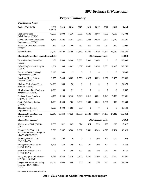# **Project Summary**

| <b>BCL/Program Name/</b>                                                  |                              |                  |                  |                  |                  |                          |                  |                  |              |
|---------------------------------------------------------------------------|------------------------------|------------------|------------------|------------------|------------------|--------------------------|------------------|------------------|--------------|
| Project Title & ID                                                        | <b>LTD</b><br><b>Actuals</b> | 2013             | 2014             | 2015             | 2016             | 2017                     | 2018             | 2019             | <b>Total</b> |
| Point Sewer Pipe<br>Rehabilitation (C3704)                                | 41,698                       | 3,900            | 4,236            | 4,500            | 4,500            | 4,500                    | 4,500            | 4,500            | 72,334       |
| Pump Station and Force Main<br>Improvements (C3703)                       | 8,443                        | 1,896            | 3,251            | 3,432            | 2,838            | 2,520                    | 2,520            | 2,520            | 27,421       |
| Sewer Full Line Replacements<br>(C3702)                                   | 349                          | 250              | 250              | 250              | 250              | 250                      | 250              | 250              | 2,099        |
| Rehabilitation                                                            | 71,980                       | 11,508           | 12,200           | 12,360           | 12,880           | 11,520                   | 11,520           | 11,520           | 155,487      |
| <b>Flooding, Sewer Back-up, and Landslides</b>                            |                              |                  |                  |                  |                  | <b>BCL/Program Code:</b> |                  |                  | <b>C380B</b> |
| Broadview Long Term Plan<br>(C3812)                                       | 905                          | 2,500            | 4,000            | 5,600            | 6,000            | 7,000                    | $\mathbf{0}$     | $\mathbf{0}$     | 26,005       |
| <b>Culvert Replacement Program</b><br>(C3810)                             | 1,864                        | 595              | 1,405            | 1,382            | 4,450            | 2,050                    | 2,000            | 2,000            | 15,746       |
| Densmore Basin Drainage<br>Improvements (C3803)                           | 7,123                        | 350              | 12               | $\boldsymbol{0}$ | $\boldsymbol{0}$ | $\boldsymbol{0}$         | $\boldsymbol{0}$ | $\boldsymbol{0}$ | 7,485        |
| <b>Localized Flood Control</b><br>Program (C3802)                         | 3,955                        | 3,845            | 3,602            | 2,550            | 4,823            | 5,839                    | 5,956            | 6,075            | 36,646       |
| Madison Valley Long Term<br>Solution (C3805)                              | 34,036                       | 384              | 50               | $\boldsymbol{0}$ | $\boldsymbol{0}$ | $\boldsymbol{0}$         | $\boldsymbol{0}$ | $\mathbf{0}$     | 34,470       |
| Meadowbrook Pond Sediment<br>Management (C3808)                           | 2,526                        | 135              | 31               | $\boldsymbol{0}$ | $\boldsymbol{0}$ | $\boldsymbol{0}$         | $\boldsymbol{0}$ | $\mathbf{0}$     | 2,692        |
| Sanitary Sewer Overflow<br>Capacity (C3804)                               | 4,975                        | 1,935            | 3,340            | 3,943            | 4,916            | 5,631                    | 5,743            | 5,858            | 36,341       |
| South Park Pump Station<br>(C3806)                                        | 6,030                        | 4,500            | 500              | 1,500            | 3,000            | 4,000                    | 3,500            | 308              | 23,339       |
| <b>Thornton Confluence</b><br>Improvement (C3811)                         | 1,525                        | 4,000            | 4,085            | 530              | $\boldsymbol{0}$ | $\boldsymbol{0}$         | $\boldsymbol{0}$ | $\mathbf{0}$     | 10,140       |
| Flooding, Sewer Back-up,<br>and Landslides                                | 62,940                       | 18,244           | 17,025           | 15,505           | 23,189           | 24,520                   | 17,199           | 14,242           | 192,864      |
| <b>Shared Cost Projects</b>                                               |                              |                  |                  |                  |                  | <b>BCL/Program Code:</b> |                  |                  | <b>C410B</b> |
| 1% for Art – DWF (C4118-<br>DWF)                                          | 2,303                        | 622              | 643              | 374              | 524              | 275                      | 290              | 296              | 5,327        |
| Alaskan Way Viaduct &<br>Seawall Replacement Program<br>- DWF (C4102-DWF) | 9,529                        | 3,557            | 3,708            | 2,032            | 6,501            | 6,203                    | 6,528            | 2,464            | 40,520       |
| Bridging the Gap - DWF<br>$(C4119-DWF)$                                   | 184                          | 500              | $\boldsymbol{0}$ | $\boldsymbol{0}$ | $\boldsymbol{0}$ | 100                      | 100              | 100              | 984          |
| <b>Emergency Storms - DWF</b><br>$(C4120-DWF)$                            | 4,506                        | 150              | 100              | 100              | 100              | 100                      | 100              | 100              | 5,256        |
| First Hill Streetcar - DWF<br>(C4130-DWF)                                 | $\boldsymbol{0}$             | $\boldsymbol{0}$ | 100              | 600              | 260              | 250                      | 250              | 250              | 1,710        |
| Heavy Equipment Purchases -<br>DWF (C4116-DWF)                            | 8,622                        | 2,345            | 2,420            | 2,200            | 2,200            | 2,200                    | 2,200            | 2,200            | 24,387       |
| <b>Integrated Control Monitoring</b><br>Program - DWF (C4108-<br>DWF)     | 14,084                       | 1,050            | 800              | 500              | 250              | 250                      | 250              | 250              | 17,434       |

\*Amounts in thousands of dollars

#### **2014 - 2019 Adopted Capital Improvement Program**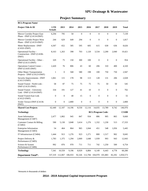| <b>BCL/Program Name/</b>                                     |                              |                  |         |                  |                  |                          |                  |                  |              |
|--------------------------------------------------------------|------------------------------|------------------|---------|------------------|------------------|--------------------------|------------------|------------------|--------------|
| Project Title & ID                                           | <b>LTD</b><br><b>Actuals</b> | 2013             | 2014    | 2015             | 2016             | 2017                     | 2018             | 2019             | <b>Total</b> |
| Mercer Corridor Project East<br>Phase - DWF (C4114-DWF)      | 6,294                        | 795              | 50      | $\boldsymbol{0}$ | $\boldsymbol{0}$ | $\boldsymbol{0}$         | $\overline{0}$   | $\boldsymbol{0}$ | 7,139        |
| Mercer Corridor Project West<br>Phase - DWF (C4133-DWF)      | 244                          | 629              | 649     | 294              | $\boldsymbol{0}$ | $\boldsymbol{0}$         | $\mathbf{0}$     | $\boldsymbol{0}$ | 1,817        |
| Meter Replacement - DWF<br>$(C4101-DWF)$                     | 4,307                        | 652              | 585     | 595              | 605              | 615                      | 630              | 636              | 8,626        |
| Operational Facility -<br>Construction - DWF (C4106-<br>DWF) | 8,163                        | 1,263            | 398     | 703              | 1,120            | 3,534                    | 2,200            | 2,040            | 19,421       |
| Operational Facility - Other -<br>DWF (C4115-DWF)            | 329                          | 75               | 150     | 300              | 100              | $\boldsymbol{0}$         | $\boldsymbol{0}$ | $\boldsymbol{0}$ | 954          |
| Operations Control Center -<br>DWF (C4105-DWF)               | 2,420                        | 76               | 806     | 43               | 60               | 206                      | 310              | 400              | 4,320        |
| Other Major Transportation<br>Projects - DWF (C4123-DWF)     | $\mathbf{1}$                 | $\mathbf{0}$     | 568     | 580              | 198              | 100                      | 750              | 750              | 2,947        |
| Security Improvements - DWF<br>$(C4113-DWF)$                 | 1,061                        | 115              | 178     | 98               | 113              | 128                      | 131              | 206              | 2,028        |
| Sound Transit - North Link -<br>DWF (C4135-DWF)              | 58                           | 87               | 75      | 75               | 75               | 75                       | 50               | 50               | 545          |
| Sound Transit - University<br>$Link - DWF(C4110-DWF)$        | 334                          | 191              | 127     | 41               | 10               | $\boldsymbol{0}$         | $\boldsymbol{0}$ | $\boldsymbol{0}$ | 702          |
| Sound Transit-East Link<br>$(C4122-DWF)$                     | $\boldsymbol{0}$             | $\boldsymbol{0}$ | 40      | 15               | $\boldsymbol{0}$ | $\boldsymbol{0}$         | $\boldsymbol{0}$ | $\boldsymbol{0}$ | 55           |
| Yesler Terrace-DWF (C4136-<br>DWF)                           | $\boldsymbol{0}$             | $\boldsymbol{0}$ | 2,800   | $\boldsymbol{0}$ | $\boldsymbol{0}$ | $\boldsymbol{0}$         | $\boldsymbol{0}$ | $\boldsymbol{0}$ | 2,800        |
| <b>Shared Cost Projects</b>                                  | 62,440                       | 12,107           | 14,196  | 8,550            | 12,116           | 14,035                   | 13,789           | 9,742            | 146,976      |
| <b>Technology</b>                                            |                              |                  |         |                  |                  | <b>BCL/Program Code:</b> |                  |                  | <b>C510B</b> |
| <b>Asset Information</b><br>Management (C5407)               | 2,477                        | 1,802            | 945     | 847              | 934              | 886                      | 905              | 865              | 9,660        |
| Customer Contact & Billing<br>(C5402)                        | 590                          | 5,130            | 3,848   | 3,414            | 1,276            | 1,332                    | 1,230            | 513              | 17,333       |
| <b>Enterprise Information</b><br>Management (C5403)          | 54                           | 464              | 864     | 965              | 1,044            | 451                      | 548              | 1,056            | 5,445        |
| IT Infrastructure (C5404)                                    | 1,444                        | 913              | 1,276   | 923              | 1,271            | 800                      | 1,517            | 902              | 9,045        |
| Project Delivery &<br>Performance (C5405)                    | 1,783                        | 1,375            | 1,294   | 2,069            | 1,648            | 1,939                    | 993              | 943              | 12,043       |
| Science & System<br>Performance (C5406)                      | 992                          | 876              | 970     | 711              | 711              | 742                      | 1,250            | 500              | 6,754        |
| <b>Technology</b>                                            | 7,341                        | 10,559           | 9,196   | 8,929            | 6,884            | 6,149                    | 6,443            | 4,778            | 60,280       |
| <b>Department Total*:</b>                                    | 337,319                      | 112,067          | 106,933 | 92,326           | 112,784          | 104,970                  | 101,883          | 82,292           | 1,050,573    |

# **Project Summary**

\*Amounts in thousands of dollars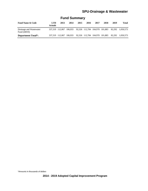| <b>Fund Name &amp; Code</b>             | <b>LTD</b><br><b>Actuals</b> | 2013            | 2014    | 2015 | 2016 | 2017 | 2018 | 2019 | Total                                                   |
|-----------------------------------------|------------------------------|-----------------|---------|------|------|------|------|------|---------------------------------------------------------|
| Drainage and Wastewater<br>Fund (44010) |                              | 337.319 112.067 |         |      |      |      |      |      | 106,933 92,326 112,784 104,970 101,883 82,292 1,050,573 |
| <b>Department Total*:</b>               |                              | 337.319 112.067 | 106.933 |      |      |      |      |      | 92,326 112,784 104,970 101,883 82,292 1,050,573         |

# **Fund Summary**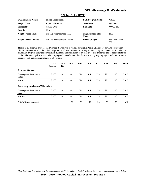#### **1% for Art – DWF**

| <b>BCL/Program Name:</b>      | <b>Shared Cost Projects</b>    | <b>BCL/Program Code:</b>     | C410B                      |
|-------------------------------|--------------------------------|------------------------------|----------------------------|
| <b>Project Type:</b>          | <b>Improved Facility</b>       | <b>Start Date:</b>           | O1/2001                    |
| <b>Project ID:</b>            | C4118-DWF                      | <b>End Date:</b>             | ONGOING                    |
| Location:                     | N/A                            |                              |                            |
| Neighborhood Plan:            | Not in a Neighborhood Plan     | Neighborhood Plan<br>Matrix: | N/A                        |
| <b>Neighborhood District:</b> | Not in a Neighborhood District | <b>Urban Village:</b>        | Not in an Urban<br>Village |

This ongoing program provides the Drainage & Wastewater funding for Seattle Public Utilities' 1% for Arts contribution. Eligibility is determined at the individual project level, with payment occurring from this program. Funds contributed to the 1% for Art program allow the commission, purchase, and installation of art in City-owned properties that is accessible to the public. The Municipal Arts Plan, which is prepared annually, describes the status of ongoing art projects and establishes the scope of work and allocations for new art projects.

|                                        | <b>LTD</b><br><b>Actuals</b> | 2013<br>Rev | 2014 | 2015 | 2016 | 2017 | 2018 | 2019 | <b>Total</b> |
|----------------------------------------|------------------------------|-------------|------|------|------|------|------|------|--------------|
| <b>Revenue Sources</b>                 |                              |             |      |      |      |      |      |      |              |
| Drainage and Wastewater<br>Rates       | 2,303                        | 622         | 643  | 374  | 524  | 275  | 290  | 296  | 5,327        |
| <b>Total:</b>                          | 2,303                        | 622         | 643  | 374  | 524  | 275  | 290  | 296  | 5,327        |
| <b>Fund Appropriations/Allocations</b> |                              |             |      |      |      |      |      |      |              |
| Drainage and Wastewater<br>Fund        | 2,303                        | 622         | 643  | 374  | 524  | 275  | 290  | 296  | 5,327        |
| Total*:                                | 2,303                        | 622         | 643  | 374  | 524  | 275  | 290  | 296  | 5,327        |
| O & M Costs (Savings)                  |                              |             | 53   | 53   | 53   | 53   | 53   | 53   | 320          |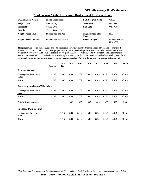| <b>BCL/Program Name:</b>      | <b>Shared Cost Projects</b> | <b>BCL/Program Code:</b>     | C410B                             |
|-------------------------------|-----------------------------|------------------------------|-----------------------------------|
| <b>Project Type:</b>          | New Facility                | <b>Start Date:</b>           | O1/2004                           |
| <b>Project ID:</b>            | $C4102-DWF$                 | <b>End Date:</b>             | O4/2019                           |
| <b>Location:</b>              | SR 99 / Battery St          |                              |                                   |
| Neighborhood Plan:            | In more than one Plan       | Neighborhood Plan<br>Matrix: | N/A                               |
| <b>Neighborhood District:</b> | In more than one District   | <b>Urban Village:</b>        | In more than one<br>Urban Village |

#### **Alaskan Way Viaduct & Seawall Replacement Program - DWF**

This program relocates, replaces, and protects drainage and wastewater infrastructure affected by the replacement of the Alaskan Way Viaduct and Seawall. This program encompasses many sub-projects which are collectively known as the "Alaskan Way Viaduct and Seawall Replacement Program" (AWVSR Program.) The Washington State Department of Transportation (WSDOT) is the lead for the SR-99 replacement, while the City of Seattle is the lead on development of the waterfront public space, implementation of the new surface Alaskan Way, and design and construction of the seawall.

|                                        | <b>LTD</b><br><b>Actuals</b> | 2013<br>Rev | 2014  | 2015  | 2016  | 2017  | 2018  | 2019  | <b>Total</b> |
|----------------------------------------|------------------------------|-------------|-------|-------|-------|-------|-------|-------|--------------|
| <b>Revenue Sources</b>                 |                              |             |       |       |       |       |       |       |              |
| Drainage and Wastewater<br>Rates       | 9,529                        | 3,557       | 3,708 | 2,032 | 6,501 | 6,203 | 6,528 | 2,464 | 40,520       |
| <b>Total:</b>                          | 9,529                        | 3,557       | 3,708 | 2,032 | 6,501 | 6,203 | 6,528 | 2,464 | 40,520       |
| <b>Fund Appropriations/Allocations</b> |                              |             |       |       |       |       |       |       |              |
| Drainage and Wastewater<br>Fund        | 9,529                        | 3,557       | 3,708 | 2,032 | 6,501 | 6,203 | 6,528 | 2,464 | 40,520       |
| Total <sup>*</sup> :                   | 9,529                        | 3,557       | 3,708 | 2,032 | 6,501 | 6,203 | 6,528 | 2,464 | 40,520       |
| O & M Costs (Savings)                  |                              |             | 405   | 405   | 405   | 405   | 405   | 405   | 2,431        |
| <b>Spending Plan by Fund</b>           |                              |             |       |       |       |       |       |       |              |
| Drainage and Wastewater<br>Fund        |                              | 3,716       | 3,708 | 2,032 | 6,501 | 6,203 | 6,528 | 2,464 | 31,151       |
| <b>Total:</b>                          |                              | 3,716       | 3,708 | 2,032 | 6,501 | 6,203 | 6,528 | 2,464 | 31,151       |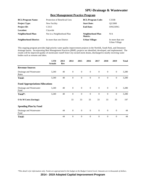#### **Best Management Practice Program**

| <b>BCL/Program Name:</b>      | Protection of Beneficial Uses | <b>BCL/Program Code:</b>     | C333B                             |
|-------------------------------|-------------------------------|------------------------------|-----------------------------------|
| <b>Project Type:</b>          | New Facility                  | <b>Start Date:</b>           | O <sub>2</sub> /2000              |
| <b>Project ID:</b>            | C <sub>3313</sub>             | <b>End Date:</b>             | ONGOING                           |
| <b>Location:</b>              | Citywide                      |                              |                                   |
| Neighborhood Plan:            | Not in a Neighborhood Plan    | Neighborhood Plan<br>Matrix: | N/A                               |
| <b>Neighborhood District:</b> | In more than one District     | <b>Urban Village:</b>        | In more than one<br>Urban Village |

This ongoing program provides high priority water quality improvement projects in the Norfolk, South Park, and Densmore drainage basins. Incorporating Best Management Practices (BMP), projects are identified, developed, and implemented. The results will be improved quality of stormwater runoff from City-owned storm drains, discharged to nearby receiving water bodies such as streams and lakes.

|                                        | <b>LTD</b><br><b>Actuals</b> | 2013<br>Rev | 2014             | 2015             | 2016             | 2017             | 2018         | 2019             | <b>Total</b> |
|----------------------------------------|------------------------------|-------------|------------------|------------------|------------------|------------------|--------------|------------------|--------------|
| <b>Revenue Sources</b>                 |                              |             |                  |                  |                  |                  |              |                  |              |
| Drainage and Wastewater<br>Rates       | 3,240                        | 40          | $\mathbf{0}$     | $\mathbf{0}$     | $\mathbf{0}$     | $\overline{0}$   | $\mathbf{0}$ | $\mathbf{0}$     | 3,280        |
| <b>Total:</b>                          | 3,240                        | 40          | $\boldsymbol{0}$ | $\boldsymbol{0}$ | $\boldsymbol{0}$ | $\boldsymbol{0}$ | $\mathbf{0}$ | $\boldsymbol{0}$ | 3,280        |
| <b>Fund Appropriations/Allocations</b> |                              |             |                  |                  |                  |                  |              |                  |              |
| Drainage and Wastewater<br>Fund        | 3,240                        | 40          | $\overline{0}$   | $\mathbf{0}$     | $\mathbf{0}$     | $\overline{0}$   | $\mathbf{0}$ | $\overline{0}$   | 3,280        |
| Total*:                                | 3,240                        | 40          | $\mathbf{0}$     | $\mathbf{0}$     | $\mathbf{0}$     | $\theta$         | $\theta$     | $\mathbf{0}$     | 3,280        |
| O & M Costs (Savings)                  |                              |             | 33               | 33               | 33               | 33               | 33           | 33               | 197          |
| <b>Spending Plan by Fund</b>           |                              |             |                  |                  |                  |                  |              |                  |              |
| Drainage and Wastewater<br>Fund        |                              | 44          | $\theta$         | $\mathbf{0}$     | $\overline{0}$   | $\overline{0}$   | $\mathbf{0}$ | $\theta$         | 44           |
| <b>Total:</b>                          |                              | 44          | $\theta$         | $\mathbf{0}$     | $\theta$         | $\overline{0}$   | $\mathbf{0}$ | $\overline{0}$   | 44           |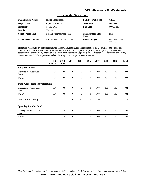#### **Bridging the Gap - DWF**

| <b>BCL/Program Name:</b>      | <b>Shared Cost Projects</b>    | <b>BCL/Program Code:</b>     | C410B                      |
|-------------------------------|--------------------------------|------------------------------|----------------------------|
| <b>Project Type:</b>          | <b>Improved Facility</b>       | <b>Start Date:</b>           | O1/2008                    |
| <b>Project ID:</b>            | $C4119-DWF$                    | <b>End Date:</b>             | ONGOING                    |
| Location:                     | Various                        |                              |                            |
| Neighborhood Plan:            | Not in a Neighborhood Plan     | Neighborhood Plan<br>Matrix: | N/A                        |
| <b>Neighborhood District:</b> | Not in a Neighborhood District | <b>Urban Village:</b>        | Not in an Urban<br>Village |

This multi-year, multi-project program funds assessments, repairs, and improvements to SPU's drainage and wastewater utility infrastructure at sites chosen by the Seattle Department of Transportation (SDOT) for bridge improvements and pedestrian and bicycle safety improvements within its "Bridging the Gap" program. SPU assesses the condition of its utility infrastructure at SDOT's project sites and conducts repairs and improvements as needed.

|                                        | <b>LTD</b><br><b>Actuals</b> | 2013<br>Rev    | 2014           | 2015             | 2016           | 2017 | 2018 | 2019 | <b>Total</b> |
|----------------------------------------|------------------------------|----------------|----------------|------------------|----------------|------|------|------|--------------|
| <b>Revenue Sources</b>                 |                              |                |                |                  |                |      |      |      |              |
| Drainage and Wastewater<br>Rates       | 184                          | 500            | $\mathbf{0}$   | $\mathbf{0}$     | $\mathbf{0}$   | 100  | 100  | 100  | 984          |
| <b>Total:</b>                          | 184                          | 500            | $\mathbf{0}$   | $\mathbf{0}$     | $\mathbf{0}$   | 100  | 100  | 100  | 984          |
| <b>Fund Appropriations/Allocations</b> |                              |                |                |                  |                |      |      |      |              |
| Drainage and Wastewater<br>Fund        | 184                          | 500            | $\overline{0}$ | $\mathbf{0}$     | $\mathbf{0}$   | 100  | 100  | 100  | 984          |
| Total*:                                | 184                          | 500            | $\mathbf{0}$   | $\boldsymbol{0}$ | $\mathbf{0}$   | 100  | 100  | 100  | 984          |
| $\overline{O}$ & M Costs (Savings)     |                              |                | 10             | 10               | 10             | 10   | 10   | 10   | 59           |
| <b>Spending Plan by Fund</b>           |                              |                |                |                  |                |      |      |      |              |
| Drainage and Wastewater<br>Fund        |                              | $\mathbf{0}$   | $\overline{0}$ | $\overline{0}$   | $\overline{0}$ | 100  | 100  | 100  | 300          |
| <b>Total:</b>                          |                              | $\overline{0}$ | $\theta$       | $\mathbf{0}$     | $\mathbf{0}$   | 100  | 100  | 100  | 300          |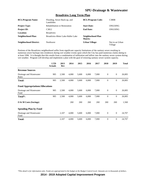#### **Broadview Long Term Plan**

| <b>BCL/Program Name:</b>      | Flooding, Sewer Back-up, and<br>Landslides | <b>BCL/Program Code:</b>     | C380B                      |
|-------------------------------|--------------------------------------------|------------------------------|----------------------------|
| <b>Project Type:</b>          | <b>Rehabilitation or Restoration</b>       | <b>Start Date:</b>           | ONGOING                    |
| <b>Project ID:</b>            | C <sub>3812</sub>                          | <b>End Date:</b>             | ONGOING                    |
| Location:                     | <b>Broadview</b>                           |                              |                            |
| Neighborhood Plan:            | Broadview-Bitter Lake-Haller Lake          | Neighborhood Plan<br>Matrix: |                            |
| <b>Neighborhood District:</b> | <b>Northwest</b>                           | Urban Village:               | Not in an Urban<br>Village |

Portions of the Broadview neighborhood suffer from significant capacity limitations of the sanitary sewer resulting in numerous sewer backups into residences during wet weather events upon which the City has paid numerous claims dating to at least 1996. It is thought that this results from a combination of infiltration and inflow into the sanitary sewer system during wet weather. Program will develop and implement a plan with the goal of restoring sanitary sewer system capacity.

|                                        | <b>LTD</b><br><b>Actuals</b> | 2013<br>Rev | 2014  | 2015  | 2016  | 2017  | 2018           | 2019         | <b>Total</b> |
|----------------------------------------|------------------------------|-------------|-------|-------|-------|-------|----------------|--------------|--------------|
| <b>Revenue Sources</b>                 |                              |             |       |       |       |       |                |              |              |
| Drainage and Wastewater<br>Rates       | 905                          | 2,500       | 4,000 | 5,600 | 6,000 | 7,000 | $\mathbf{0}$   | $\mathbf{0}$ | 26,005       |
| Total:                                 | 905                          | 2,500       | 4,000 | 5,600 | 6,000 | 7,000 | $\theta$       | $\mathbf{0}$ | 26,005       |
| <b>Fund Appropriations/Allocations</b> |                              |             |       |       |       |       |                |              |              |
| Drainage and Wastewater<br>Fund        | 905                          | 2,500       | 4,000 | 5,600 | 6,000 | 7,000 | $\mathbf{0}$   | $\mathbf{0}$ | 26,005       |
| Total*:                                | 905                          | 2,500       | 4,000 | 5,600 | 6,000 | 7,000 | $\mathbf{0}$   | $\mathbf{0}$ | 26,005       |
| $\overline{O}$ & M Costs (Savings)     |                              |             | 260   | 260   | 260   | 260   | 260            | 260          | 1,560        |
| <b>Spending Plan by Fund</b>           |                              |             |       |       |       |       |                |              |              |
| Drainage and Wastewater<br>Fund        |                              | 2,107       | 4,000 | 5,600 | 6,000 | 7,000 | $\overline{0}$ | $\mathbf{0}$ | 24,707       |
| Total:                                 |                              | 2,107       | 4,000 | 5,600 | 6,000 | 7,000 | $\overline{0}$ | $\mathbf{0}$ | 24,707       |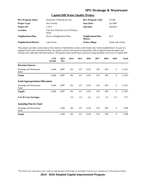| <b>BCL/Program Name:</b>      | Protection of Beneficial Uses             | <b>BCL/Program Code:</b>            | C333B            |
|-------------------------------|-------------------------------------------|-------------------------------------|------------------|
| <b>Project Type:</b>          | New Facility                              | <b>Start Date:</b>                  | O1/2006          |
| <b>Project ID:</b>            | C <sub>3373</sub>                         | <b>End Date:</b>                    | O4/2018          |
| <b>Location:</b>              | Yale Ave N/Pontius Ave N/Thomas<br>Street |                                     |                  |
| <b>Neighborhood Plan:</b>     | Not in a Neighborhood Plan                | Neighborhood Plan<br><b>Matrix:</b> | N/A              |
| <b>Neighborhood District:</b> | Lake Union                                | <b>Urban Village:</b>               | South Lake Union |

#### **Capitol Hill Water Quality Project**

This project provides construction of four blocks of biofiltration swales in the South Lake Union neighborhood. As part of a regional storm water treatment facility, this project will be constructed in partnership with an adjacent land developer and includes new sidewalks and road surfaces. The project treats runoff from a portion of approximately 435 acres of Capitol Hill.

|                                        | <b>LTD</b><br><b>Actuals</b> | 2013<br>Rev | 2014 | 2015 | 2016  | 2017 | 2018 | 2019             | <b>Total</b> |
|----------------------------------------|------------------------------|-------------|------|------|-------|------|------|------------------|--------------|
| <b>Revenue Sources</b>                 |                              |             |      |      |       |      |      |                  |              |
| Drainage and Wastewater<br>Rates       | 4,446                        | 2,887       | 261  | 237  | 2,516 | 239  | 695  | $\mathbf{0}$     | 11,281       |
| <b>Total:</b>                          | 4,446                        | 2,887       | 261  | 237  | 2,516 | 239  | 695  | $\mathbf{0}$     | 11,281       |
| <b>Fund Appropriations/Allocations</b> |                              |             |      |      |       |      |      |                  |              |
| Drainage and Wastewater<br>Fund        | 4,446                        | 2,887       | 261  | 237  | 2,516 | 239  | 695  | $\mathbf{0}$     | 11,281       |
| Total*:                                | 4,446                        | 2,887       | 261  | 237  | 2,516 | 239  | 695  | $\mathbf{0}$     | 11,281       |
| O & M Costs (Savings)                  |                              |             | 113  | 113  | 113   | 113  | 113  | 113              | 677          |
| <b>Spending Plan by Fund</b>           |                              |             |      |      |       |      |      |                  |              |
| Drainage and Wastewater<br>Fund        |                              | 3,340       | 261  | 237  | 2,516 | 239  | 695  | $\boldsymbol{0}$ | 7,288        |
| <b>Total:</b>                          |                              | 3,340       | 261  | 237  | 2,516 | 239  | 695  | $\boldsymbol{0}$ | 7,288        |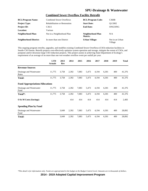#### **Combined Sewer Overflow Facility Retrofit**

| <b>BCL/Program Name:</b>      | <b>Combined Sewer Overflows</b>      | <b>BCL/Program Code:</b>     | C360B                      |
|-------------------------------|--------------------------------------|------------------------------|----------------------------|
| <b>Project Type:</b>          | <b>Rehabilitation or Restoration</b> | <b>Start Date:</b>           | O1/2002                    |
| <b>Project ID:</b>            | C <sub>3611</sub>                    | <b>End Date:</b>             | ONGOING                    |
| Location:                     | Various                              |                              |                            |
| Neighborhood Plan:            | Not in a Neighborhood Plan           | Neighborhood Plan<br>Matrix: | N/A                        |
| <b>Neighborhood District:</b> | In more than one District            | <b>Urban Village:</b>        | Not in an Urban<br>Village |

This ongoing program retrofits, upgrades, and modifies existing Combined Sewer Overflows (CSO) reduction facilities in Seattle CSO basins. Retrofit projects cost-effectively optimize system operation and storage, mitigate the extent of CSOs, and postpone and/or downsize large CSO reduction projects. This project assists in achieving State Department of Ecology's requirement of an average of no more than one wet-weather overflow event per outfall per year.

|                                        | <b>LTD</b><br><b>Actuals</b> | 2013<br><b>Rev</b> | 2014  | 2015  | 2016  | 2017  | 2018  | 2019 | <b>Total</b> |
|----------------------------------------|------------------------------|--------------------|-------|-------|-------|-------|-------|------|--------------|
| <b>Revenue Sources</b>                 |                              |                    |       |       |       |       |       |      |              |
| Drainage and Wastewater<br>Rates       | 11,775                       | 3,758              | 2,392 | 7,083 | 5,473 | 4,194 | 6,301 | 400  | 41,376       |
| Total:                                 | 11,775                       | 3,758              | 2,392 | 7,083 | 5,473 | 4,194 | 6,301 | 400  | 41,376       |
| <b>Fund Appropriations/Allocations</b> |                              |                    |       |       |       |       |       |      |              |
| Drainage and Wastewater<br>Fund        | 11,775                       | 3,758              | 2,392 | 7,083 | 5,473 | 4,194 | 6,301 | 400  | 41,376       |
| Total*:                                | 11,775                       | 3,758              | 2,392 | 7,083 | 5,473 | 4,194 | 6,301 | 400  | 41,376       |
| O & M Costs (Savings)                  |                              |                    | 414   | 414   | 414   | 414   | 414   | 414  | 2,483        |
| <b>Spending Plan by Fund</b>           |                              |                    |       |       |       |       |       |      |              |
| Drainage and Wastewater<br>Fund        |                              | 3,049              | 2,392 | 7,083 | 5,473 | 4,194 | 6,301 | 400  | 28,892       |
| <b>Total:</b>                          |                              | 3,049              | 2,392 | 7,083 | 5,473 | 4,194 | 6,301 | 400  | 28,892       |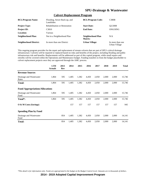| <b>BCL/Program Name:</b>      | Flooding, Sewer Back-up, and<br>Landslides | <b>BCL/Program Code:</b>     | C380B                             |
|-------------------------------|--------------------------------------------|------------------------------|-----------------------------------|
| <b>Project Type:</b>          | <b>Rehabilitation or Restoration</b>       | <b>Start Date:</b>           | O <sub>2</sub> /2008              |
| <b>Project ID:</b>            | C3810                                      | <b>End Date:</b>             | ONGOING                           |
| Location:                     | Various                                    |                              |                                   |
| Neighborhood Plan:            | Not in a Neighborhood Plan                 | Neighborhood Plan<br>Matrix: | N/A                               |
| <b>Neighborhood District:</b> | In more than one District                  | <b>Urban Village:</b>        | In more than one<br>Urban Village |

#### **Culvert Replacement Program**

This ongoing program provides for the repair and replacement of stream culverts that are part of SPU's critical drainage infrastructure. Culverts will be repaired or replaced based on risks and benefits of the project, including flooding and public infrastructure risk and benefits. Replacements will be addressed as part of this capital program, while small repairs and retrofits will be covered within the Operations and Maintenance budget. Funding transfers to from the budget placeholder to culvert replacement projects once they are approved through the AMC process.

|                                        | <b>LTD</b><br><b>Actuals</b> | 2013<br>Rev | 2014  | 2015  | 2016  | 2017  | 2018  | 2019  | <b>Total</b> |
|----------------------------------------|------------------------------|-------------|-------|-------|-------|-------|-------|-------|--------------|
| <b>Revenue Sources</b>                 |                              |             |       |       |       |       |       |       |              |
| Drainage and Wastewater<br>Rates       | 1,864                        | 595         | 1,405 | 1,382 | 4,450 | 2,050 | 2,000 | 2,000 | 15,746       |
| <b>Total:</b>                          | 1,864                        | 595         | 1,405 | 1,382 | 4,450 | 2,050 | 2,000 | 2,000 | 15,746       |
| <b>Fund Appropriations/Allocations</b> |                              |             |       |       |       |       |       |       |              |
| Drainage and Wastewater<br>Fund        | 1,864                        | 595         | 1,405 | 1,382 | 4,450 | 2,050 | 2,000 | 2,000 | 15,746       |
| Total*:                                | 1,864                        | 595         | 1,405 | 1,382 | 4,450 | 2,050 | 2,000 | 2,000 | 15,746       |
| O & M Costs (Savings)                  |                              |             | 157   | 157   | 157   | 157   | 157   | 157   | 945          |
| <b>Spending Plan by Fund</b>           |                              |             |       |       |       |       |       |       |              |
| Drainage and Wastewater<br>Fund        |                              | 854         | 1,405 | 1,382 | 4,450 | 2,050 | 2,000 | 2,000 | 14,141       |
| <b>Total:</b>                          |                              | 854         | 1,405 | 1,382 | 4,450 | 2,050 | 2,000 | 2,000 | 14,141       |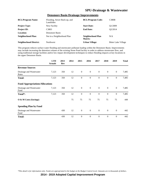| <b>BCL/Program Name:</b>      | Flooding, Sewer Back-up, and<br>Landslides | <b>BCL/Program Code:</b>            | <b>C380B</b>               |
|-------------------------------|--------------------------------------------|-------------------------------------|----------------------------|
| <b>Project Type:</b>          | New Facility                               | <b>Start Date:</b>                  | O1/2009                    |
| <b>Project ID:</b>            | C <sub>3803</sub>                          | <b>End Date:</b>                    | O <sub>2</sub> /2014       |
| <b>Location:</b>              | Densmore Basin                             |                                     |                            |
| Neighborhood Plan:            | Not in a Neighborhood Plan                 | Neighborhood Plan<br><b>Matrix:</b> | N/A                        |
| <b>Neighborhood District:</b> | <b>Northwest</b>                           | <b>Urban Village:</b>               | <b>Bitter Lake Village</b> |

#### **Densmore Basin Drainage Improvements**

This program reduces surface water flooding and stormwater pollutant loading within the Densmore Basin. Improvements may include increasing the detention volume of the existing Stone Pond facility in order to address stormwater flow, and using traditional storage facilities and/or low impact development techniques to reduce flooding impacts at key locations in the upper Densmore Basin.

|                                        | <b>LTD</b><br><b>Actuals</b> | 2013<br>Rev | 2014 | 2015             | 2016             | 2017           | 2018           | 2019           | <b>Total</b> |
|----------------------------------------|------------------------------|-------------|------|------------------|------------------|----------------|----------------|----------------|--------------|
| <b>Revenue Sources</b>                 |                              |             |      |                  |                  |                |                |                |              |
| Drainage and Wastewater<br>Rates       | 7,123                        | 350         | 12   | $\boldsymbol{0}$ | $\boldsymbol{0}$ | $\overline{0}$ | $\mathbf{0}$   | $\mathbf{0}$   | 7,485        |
| <b>Total:</b>                          | 7,123                        | 350         | 12   | $\boldsymbol{0}$ | $\boldsymbol{0}$ | $\mathbf{0}$   | $\mathbf{0}$   | $\mathbf{0}$   | 7,485        |
| <b>Fund Appropriations/Allocations</b> |                              |             |      |                  |                  |                |                |                |              |
| Drainage and Wastewater<br>Fund        | 7,123                        | 350         | 12   | $\boldsymbol{0}$ | $\boldsymbol{0}$ | $\overline{0}$ | $\mathbf{0}$   | $\mathbf{0}$   | 7,485        |
| Total*:                                | 7,123                        | 350         | 12   | $\boldsymbol{0}$ | $\overline{0}$   | $\overline{0}$ | $\overline{0}$ | $\mathbf{0}$   | 7,485        |
| O & M Costs (Savings)                  |                              |             | 75   | 75               | 75               | 75             | 75             | 75             | 449          |
| <b>Spending Plan by Fund</b>           |                              |             |      |                  |                  |                |                |                |              |
| Drainage and Wastewater<br>Fund        |                              | 430         | 12   | $\mathbf{0}$     | $\overline{0}$   | $\theta$       | $\mathbf{0}$   | $\mathbf{0}$   | 442          |
| <b>Total:</b>                          |                              | 430         | 12   | $\overline{0}$   | $\overline{0}$   | $\theta$       | $\mathbf{0}$   | $\overline{0}$ | 442          |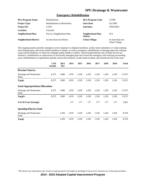#### **Emergency Rehabilitation**

| <b>BCL/Program Name:</b>      | <b>Rehabilitation</b>                | <b>BCL/Program Code:</b>     | C370B                             |
|-------------------------------|--------------------------------------|------------------------------|-----------------------------------|
| <b>Project Type:</b>          | <b>Rehabilitation or Restoration</b> | <b>Start Date:</b>           | O1/1998                           |
| <b>Project ID:</b>            | C <sub>3705</sub>                    | <b>End Date:</b>             | ONGOING                           |
| <b>Location:</b>              | Citywide                             |                              |                                   |
| Neighborhood Plan:            | Not in a Neighborhood Plan           | Neighborhood Plan<br>Matrix: | N/A                               |
| <b>Neighborhood District:</b> | In more than one District            | <b>Urban Village:</b>        | In more than one<br>Urban Village |

This ongoing project provides emergency sewer response to collapsed mainlines, surface street subsidence or voids resulting from leaking pipes, and storm-related incidents in Seattle, as well as emergency rehabilitation to drainage pipes that collapse, cause surface problems, or otherwise endanger public health or welfare. Typical improvements may include, but are not limited to, rehabilitation or replacement of structurally damaged pipes that caused the emergency and restoring surrounding areas. Rehabilitation or replacement quickly corrects the situation, avoids repeat incident, and extends the life of the asset.

|                                        | <b>LTD</b><br><b>Actuals</b> | 2013<br>Rev | 2014  | 2015  | 2016  | 2017  | 2018  | 2019  | <b>Total</b> |
|----------------------------------------|------------------------------|-------------|-------|-------|-------|-------|-------|-------|--------------|
| <b>Revenue Sources</b>                 |                              |             |       |       |       |       |       |       |              |
| Drainage and Wastewater<br>Rates       | 8,375                        | 1,980       | 1,070 | 1,250 | 1,250 | 1,250 | 1,250 | 1,250 | 17,675       |
| <b>Total:</b>                          | 8,375                        | 1,980       | 1,070 | 1,250 | 1,250 | 1,250 | 1,250 | 1,250 | 17,675       |
| <b>Fund Appropriations/Allocations</b> |                              |             |       |       |       |       |       |       |              |
| Drainage and Wastewater<br>Fund        | 8,375                        | 1,980       | 1,070 | 1,250 | 1,250 | 1,250 | 1,250 | 1,250 | 17,675       |
| Total*:                                | 8,375                        | 1,980       | 1,070 | 1,250 | 1,250 | 1,250 | 1,250 | 1,250 | 17,675       |
| $\overline{O}$ & M Costs (Savings)     |                              |             | 177   | 177   | 177   | 177   | 177   | 177   | 1,061        |
| <b>Spending Plan by Fund</b>           |                              |             |       |       |       |       |       |       |              |
| Drainage and Wastewater<br>Fund        |                              | 1,439       | 1,070 | 1,250 | 1,250 | 1,250 | 1,250 | 1,250 | 8,759        |
| <b>Total:</b>                          |                              | 1,439       | 1,070 | 1,250 | 1,250 | 1,250 | 1,250 | 1,250 | 8,759        |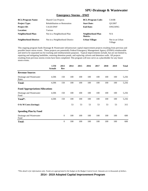#### **Emergency Storms - DWF**

| <b>BCL/Program Name:</b>      | <b>Shared Cost Projects</b>          | <b>BCL/Program Code:</b>     | C410B                      |
|-------------------------------|--------------------------------------|------------------------------|----------------------------|
| <b>Project Type:</b>          | <b>Rehabilitation or Restoration</b> | <b>Start Date:</b>           | O3/2007                    |
| <b>Project ID:</b>            | C4120-DWF                            | <b>End Date:</b>             | ONGOING                    |
| Location:                     | Various                              |                              |                            |
| Neighborhood Plan:            | Not in a Neighborhood Plan           | Neighborhood Plan<br>Matrix: | N/A                        |
| <b>Neighborhood District:</b> | Not in a Neighborhood District       | Urban Village:               | Not in an Urban<br>Village |

This ongoing program funds Drainage & Wastewater infrastructure capital improvement projects resulting from previous and possible future storm events. These projects are potentially Federal Emergency Management Agency (FEMA) reimbursable and need to be separated out for tracking and reimbursement purposes. Typical improvements include, but are not limited to, repairing and mitigating landslides, restoring detention ponds, and replacing culverts and detention walls. All projects resulting from previous storms events have been completed. This program will now serve as a placeholder for any future storm events.

|                                        | <b>LTD</b><br><b>Actuals</b> | 2013<br>Rev    | 2014 | 2015 | 2016 | 2017 | 2018 | 2019 | <b>Total</b> |
|----------------------------------------|------------------------------|----------------|------|------|------|------|------|------|--------------|
| <b>Revenue Sources</b>                 |                              |                |      |      |      |      |      |      |              |
| Drainage and Wastewater<br>Rates       | 4,506                        | 150            | 100  | 100  | 100  | 100  | 100  | 100  | 5,256        |
| <b>Total:</b>                          | 4,506                        | 150            | 100  | 100  | 100  | 100  | 100  | 100  | 5,256        |
| <b>Fund Appropriations/Allocations</b> |                              |                |      |      |      |      |      |      |              |
| Drainage and Wastewater<br>Fund        | 4,506                        | 150            | 100  | 100  | 100  | 100  | 100  | 100  | 5,256        |
| Total*:                                | 4,506                        | 150            | 100  | 100  | 100  | 100  | 100  | 100  | 5,256        |
| O & M Costs (Savings)                  |                              |                | 53   | 53   | 53   | 53   | 53   | 53   | 315          |
| <b>Spending Plan by Fund</b>           |                              |                |      |      |      |      |      |      |              |
| Drainage and Wastewater<br>Fund        |                              | $\mathbf{0}$   | 100  | 100  | 100  | 100  | 100  | 100  | 600          |
| <b>Total:</b>                          |                              | $\overline{0}$ | 100  | 100  | 100  | 100  | 100  | 100  | 600          |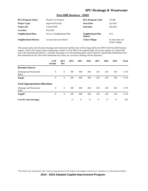#### **First Hill Streetcar - DWF**

| <b>BCL/Program Name:</b>      | <b>Shared Cost Projects</b> | <b>BCL/Program Code:</b>     | C410B                             |
|-------------------------------|-----------------------------|------------------------------|-----------------------------------|
| <b>Project Type:</b>          | <b>Improved Facility</b>    | <b>Start Date:</b>           | O1/2010                           |
| <b>Project ID:</b>            | C4130-DWF                   | <b>End Date:</b>             | O4/2020                           |
| <b>Location:</b>              | <b>First Hill</b>           |                              |                                   |
| Neighborhood Plan:            | Not in a Neighborhood Plan  | Neighborhood Plan<br>Matrix: | N/A                               |
| <b>Neighborhood District:</b> | In more than one District   | <b>Urban Village:</b>        | In more than one<br>Urban Village |

This project plans and relocates drainage and wastewater facilities that will be impacted by the SDOT-led First Hill Streetcar project, which will connect major employment centers on First Hill to the regional light rail system stations on Capitol Hill and in the International District. Currently this project is in the planning phase and no specific capitalizable betterments have been identified for the 2014-2019 timeframe but if they are, necessary funding will be requested.

|                                        | <b>LTD</b><br><b>Actuals</b> | 2013<br>Rev      | 2014 | 2015 | 2016 | 2017 | 2018 | 2019 | <b>Total</b> |
|----------------------------------------|------------------------------|------------------|------|------|------|------|------|------|--------------|
| <b>Revenue Sources</b>                 |                              |                  |      |      |      |      |      |      |              |
| Drainage and Wastewater<br>Rates       | $\theta$                     | $\overline{0}$   | 100  | 600  | 260  | 250  | 250  | 250  | 1,710        |
| <b>Total:</b>                          | $\overline{0}$               | $\mathbf{0}$     | 100  | 600  | 260  | 250  | 250  | 250  | 1,710        |
| <b>Fund Appropriations/Allocations</b> |                              |                  |      |      |      |      |      |      |              |
| Drainage and Wastewater<br>Fund        | $\theta$                     | $\theta$         | 100  | 600  | 260  | 250  | 250  | 250  | 1,710        |
| Total*:                                | $\boldsymbol{0}$             | $\boldsymbol{0}$ | 100  | 600  | 260  | 250  | 250  | 250  | 1,710        |
| O & M Costs (Savings)                  |                              |                  | 17   | 17   | 17   | 17   | 17   | 17   | 103          |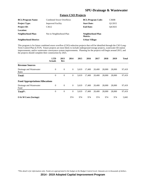#### **Future CSO Projects**

| <b>BCL/Program Name:</b>      | <b>Combined Sewer Overflows</b> | <b>BCL/Program Code:</b>     | C360B                |
|-------------------------------|---------------------------------|------------------------------|----------------------|
| <b>Project Type:</b>          | <b>Improved Facility</b>        | <b>Start Date:</b>           | O <sub>1</sub> /2015 |
| <b>Project ID:</b>            | C <sub>3612</sub>               | <b>End Date:</b>             | O4/2025              |
| Location:                     |                                 |                              |                      |
| Neighborhood Plan:            | Not in Neighborhood Plan        | Neighborhood Plan<br>Matrix: |                      |
| <b>Neighborhood District:</b> |                                 | Urban Village:               |                      |

This program is for future combined sewer overflow (CSO) reduction projects that will be identified through the CSO Long-Term Control Plan (LTCP). Future projects are most likely to include underground storage projects, wastewater lift station improvements, and/or wastewater conveyance system improvements. Planning for the projects will begin around 2015, and the projects should complete their construction by 2025.

|                                        | <b>LTD</b><br><b>Actuals</b> | 2013<br>Rev    | 2014           | 2015  | 2016   | 2017   | 2018   | 2019   | <b>Total</b> |
|----------------------------------------|------------------------------|----------------|----------------|-------|--------|--------|--------|--------|--------------|
| <b>Revenue Sources</b>                 |                              |                |                |       |        |        |        |        |              |
| Drainage and Wastewater<br>Rates       | $\mathbf{0}$                 | $\theta$       | $\overline{0}$ | 3,619 | 17.400 | 20,400 | 28,000 | 28,000 | 97,419       |
| <b>Total:</b>                          | $\overline{0}$               | $\overline{0}$ | $\theta$       | 3.619 | 17.400 | 20,400 | 28,000 | 28,000 | 97,419       |
| <b>Fund Appropriations/Allocations</b> |                              |                |                |       |        |        |        |        |              |
| Drainage and Wastewater<br>Fund        | $\theta$                     | $\overline{0}$ | $\overline{0}$ | 3.619 | 17.400 | 20,400 | 28,000 | 28,000 | 97,419       |
| Total*:                                | $\theta$                     | $\overline{0}$ | $\theta$       | 3.619 | 17,400 | 20,400 | 28,000 | 28,000 | 97,419       |
| O & M Costs (Savings)                  |                              |                | 974            | 974   | 974    | 974    | 974    | 974    | 5,845        |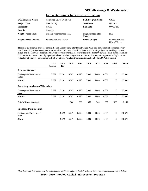#### **Green Stormwater Infrastructure Program**

| <b>BCL/Program Name:</b>      | <b>Combined Sewer Overflows</b> | <b>BCL/Program Code:</b>     | C360B                             |
|-------------------------------|---------------------------------|------------------------------|-----------------------------------|
| <b>Project Type:</b>          | New Facility                    | <b>Start Date:</b>           | O1/2011                           |
| <b>Project ID:</b>            | C <sub>3610</sub>               | <b>End Date:</b>             | ONGOING                           |
| <b>Location:</b>              | Citywide                        |                              |                                   |
| Neighborhood Plan:            | Not in a Neighborhood Plan      | Neighborhood Plan<br>Matrix: | N/A                               |
| <b>Neighborhood District:</b> | In more than one District       | <b>Urban Village:</b>        | In more than one<br>Urban Village |

This ongoing program provides construction of Green Stormwater Infrastructure (GSI) as a component of combined sewer overflow (CSO) reduction within the uncontrolled CSO basins. Work includes roadside raingardens, permeable pavement alleys, and the RainWise program. RainWise provides financial incentives to private property owners within our uncontrolled CSO basins for construction of properly sized and installed raingardens or cisterns. The program supports the City's current regulatory strategy for compliance with CSO National Pollutant Discharge Elimination System (NPDES) permit.

|                                        | <b>LTD</b><br><b>Actuals</b> | 2013<br>Rev | 2014  | 2015  | 2016  | 2017  | 2018  | 2019         | <b>Total</b> |
|----------------------------------------|------------------------------|-------------|-------|-------|-------|-------|-------|--------------|--------------|
| <b>Revenue Sources</b>                 |                              |             |       |       |       |       |       |              |              |
| Drainage and Wastewater<br>Rates       | 3,892                        | 5,102       | 5,747 | 6,278 | 6,099 | 4,866 | 4,009 | $\mathbf{0}$ | 35,992       |
| Total:                                 | 3,892                        | 5,102       | 5,747 | 6,278 | 6,099 | 4,866 | 4,009 | $\mathbf{0}$ | 35,992       |
| <b>Fund Appropriations/Allocations</b> |                              |             |       |       |       |       |       |              |              |
| Drainage and Wastewater<br>Fund        | 3,892                        | 5,102       | 5,747 | 6,278 | 6,099 | 4,866 | 4,009 | $\mathbf{0}$ | 35,992       |
| Total*:                                | 3,892                        | 5,102       | 5,747 | 6,278 | 6,099 | 4,866 | 4,009 | $\mathbf{0}$ | 35,992       |
| O & M Costs (Savings)                  |                              |             | 360   | 360   | 360   | 360   | 360   | 360          | 2,160        |
| <b>Spending Plan by Fund</b>           |                              |             |       |       |       |       |       |              |              |
| Drainage and Wastewater<br>Fund        |                              | 4,372       | 5,747 | 6,278 | 6,099 | 4,866 | 4,009 | $\mathbf{0}$ | 31,371       |
| Total:                                 |                              | 4,372       | 5,747 | 6,278 | 6,099 | 4,866 | 4,009 | $\mathbf{0}$ | 31,371       |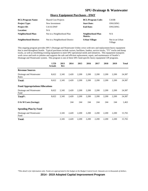#### **Heavy Equipment Purchases - DWF**

| <b>BCL/Program Name:</b>      | <b>Shared Cost Projects</b>    | <b>BCL/Program Code:</b>     | C410B                      |
|-------------------------------|--------------------------------|------------------------------|----------------------------|
| <b>Project Type:</b>          | New Investment                 | <b>Start Date:</b>           | ONGOING                    |
| <b>Project ID:</b>            | C4116-DWF                      | <b>End Date:</b>             | ONGOING                    |
| Location:                     | N/A                            |                              |                            |
| Neighborhood Plan:            | Not in a Neighborhood Plan     | Neighborhood Plan<br>Matrix: | N/A                        |
| <b>Neighborhood District:</b> | Not in a Neighborhood District | <b>Urban Village:</b>        | Not in an Urban<br>Village |

This ongoing program provides SPU's Drainage and Wastewater Utility crews with new and replacement heavy equipment that is used throughout Seattle. Typical purchases include vactors, backhoes, loaders, service trucks, "TV" trucks and dump trucks, as well as retrofitting existing equipment to meet SPU operational needs and initiatives. This equipment transports work crews and tools to jobsites and supports the safe and efficient replacement, repair, and maintenance of Seattle's Drainage and Wastewater system. This program is one of three SPU fund-specific heavy equipment CIP programs.

|                                        | <b>LTD</b><br><b>Actuals</b> | 2013<br>Rev | 2014  | 2015  | 2016  | 2017  | 2018  | 2019  | <b>Total</b> |
|----------------------------------------|------------------------------|-------------|-------|-------|-------|-------|-------|-------|--------------|
| <b>Revenue Sources</b>                 |                              |             |       |       |       |       |       |       |              |
| Drainage and Wastewater<br>Rates       | 8,622                        | 2,345       | 2,420 | 2,200 | 2,200 | 2,200 | 2,200 | 2,200 | 24,387       |
| Total:                                 | 8,622                        | 2,345       | 2,420 | 2,200 | 2,200 | 2,200 | 2,200 | 2,200 | 24,387       |
| <b>Fund Appropriations/Allocations</b> |                              |             |       |       |       |       |       |       |              |
| Drainage and Wastewater<br>Fund        | 8,622                        | 2,345       | 2,420 | 2,200 | 2,200 | 2,200 | 2,200 | 2,200 | 24,387       |
| Total*:                                | 8,622                        | 2,345       | 2,420 | 2,200 | 2,200 | 2,200 | 2,200 | 2,200 | 24,387       |
| $\overline{O}$ & M Costs (Savings)     |                              |             | 244   | 244   | 244   | 244   | 244   | 244   | 1,463        |
| <b>Spending Plan by Fund</b>           |                              |             |       |       |       |       |       |       |              |
| Drainage and Wastewater<br>Fund        |                              | 2,345       | 2,420 | 2,200 | 2,200 | 2,200 | 2,200 | 2,200 | 15,765       |
| Total:                                 |                              | 2,345       | 2,420 | 2,200 | 2,200 | 2,200 | 2,200 | 2,200 | 15,765       |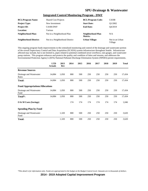#### **Integrated Control Monitoring Program - DWF**

| <b>BCL/Program Name:</b>      | <b>Shared Cost Projects</b>    | <b>BCL/Program Code:</b>     | C410B                      |
|-------------------------------|--------------------------------|------------------------------|----------------------------|
| <b>Project Type:</b>          | New Investment                 | <b>Start Date:</b>           | O1/2002                    |
| <b>Project ID:</b>            | C4108-DWF                      | <b>End Date:</b>             | O4/2019                    |
| Location:                     | Various                        |                              |                            |
| Neighborhood Plan:            | Not in a Neighborhood Plan     | Neighborhood Plan<br>Matrix: | N/A                        |
| <b>Neighborhood District:</b> | Not in a Neighborhood District | <b>Urban Village:</b>        | Not in an Urban<br>Village |

This ongoing program funds improvements to the centralized monitoring and control of the drainage and wastewater portion of the overall Supervisory Control and Data Acquisition (SCADA) system infrastructure throughout Seattle. Infrastructure affected may include, but is not limited to, pipes related to potential combined sewer overflows, rain gauges, and wastewater pump stations. This program enhances and protects the quality and condition of lakes and streams, and addresses the Environmental Protection Agency's (EPA) National Pollutant Discharge Elimination System (NPDES) permit requirements.

|                                        | <b>LTD</b><br><b>Actuals</b> | 2013<br><b>Rev</b> | 2014 | 2015 | 2016 | 2017 | 2018 | 2019 | <b>Total</b> |
|----------------------------------------|------------------------------|--------------------|------|------|------|------|------|------|--------------|
| <b>Revenue Sources</b>                 |                              |                    |      |      |      |      |      |      |              |
| Drainage and Wastewater<br>Rates       | 14,084                       | 1,050              | 800  | 500  | 250  | 250  | 250  | 250  | 17,434       |
| Total:                                 | 14,084                       | 1,050              | 800  | 500  | 250  | 250  | 250  | 250  | 17,434       |
| <b>Fund Appropriations/Allocations</b> |                              |                    |      |      |      |      |      |      |              |
| Drainage and Wastewater<br>Fund        | 14,084                       | 1,050              | 800  | 500  | 250  | 250  | 250  | 250  | 17,434       |
| Total*:                                | 14,084                       | 1,050              | 800  | 500  | 250  | 250  | 250  | 250  | 17,434       |
| O & M Costs (Savings)                  |                              |                    | 174  | 174  | 174  | 174  | 174  | 174  | 1,046        |
| <b>Spending Plan by Fund</b>           |                              |                    |      |      |      |      |      |      |              |
| Drainage and Wastewater<br>Fund        |                              | 1,320              | 800  | 500  | 250  | 250  | 250  | 250  | 3,620        |
| <b>Total:</b>                          |                              | 1,320              | 800  | 500  | 250  | 250  | 250  | 250  | 3,620        |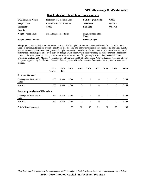#### **Knickerbocker Floodplain Improvements**

| <b>BCL/Program Name:</b>      | Protection of Beneficial Uses        | <b>BCL/Program Code:</b>     | C333B   |
|-------------------------------|--------------------------------------|------------------------------|---------|
| <b>Project Type:</b>          | <b>Rehabilitation or Restoration</b> | <b>Start Date:</b>           | 03/2012 |
| <b>Project ID:</b>            | C3383                                | <b>End Date:</b>             | O4/2014 |
| <b>Location:</b>              |                                      |                              |         |
| Neighborhood Plan:            | Not in Neighborhood Plan             | Neighborhood Plan<br>Matrix: |         |
| <b>Neighborhood District:</b> |                                      | <b>Urban Village:</b>        |         |

This project provides design, permits and construction of a floodplain restoration project on the south branch of Thornton Creek to contribute to reduced system-wide stream-side flooding and improve instream and riparian habitat and water quality. Project elements include stream realignment, floodplain excavation, installation of a hyporheic zone (a subsurface volume of sediment and porous space adjacent to a stream through which stream water readily exchanges), replacement of a pedestrian bridge, and riparian plantings. This project is consistent with a number of long-term plans (including the DWW Urban Watershed Strategy, 2004 Mayor's Aquatic Ecology Strategy, and 1999 Thornton Creek Watershed Action Plan) and follows the path mapped out by the Thornton Creek Confluence project which also increases floodplain area to provide stream water storage.

|                                        | <b>LTD</b><br><b>Actuals</b> | 2013<br>Rev | 2014  | 2015         | 2016           | 2017             | 2018           | 2019           | <b>Total</b> |
|----------------------------------------|------------------------------|-------------|-------|--------------|----------------|------------------|----------------|----------------|--------------|
| <b>Revenue Sources</b>                 |                              |             |       |              |                |                  |                |                |              |
| Drainage and Wastewater<br>Rates       | 256                          | 1,540       | 1,368 | $\mathbf{0}$ | $\overline{0}$ | $\boldsymbol{0}$ | $\overline{0}$ | $\overline{0}$ | 3,164        |
| <b>Total:</b>                          | 256                          | 1,540       | 1,368 | $\theta$     | $\mathbf{0}$   | $\mathbf{0}$     | $\overline{0}$ | $\overline{0}$ | 3,164        |
| <b>Fund Appropriations/Allocations</b> |                              |             |       |              |                |                  |                |                |              |
| Drainage and Wastewater<br>Fund        | 256                          | 1,540       | 1,368 | $\theta$     | $\overline{0}$ | $\overline{0}$   | $\overline{0}$ | $\overline{0}$ | 3,164        |
| Total*:                                | 256                          | 1,540       | 1,368 | $\theta$     | $\mathbf{0}$   | $\overline{0}$   | $\theta$       | $\overline{0}$ | 3,164        |
| O & M Costs (Savings)                  |                              |             | 32    | 32           | 32             | 32               | 32             | 32             | 190          |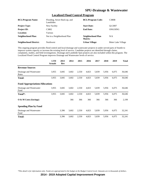# **Localized Flood Control Program**

| <b>BCL/Program Name:</b>      | Flooding, Sewer Back-up, and<br>Landslides | <b>BCL/Program Code:</b>     | C380B                      |
|-------------------------------|--------------------------------------------|------------------------------|----------------------------|
| <b>Project Type:</b>          | New Facility                               | <b>Start Date:</b>           | O1/2007                    |
| <b>Project ID:</b>            | C <sub>3</sub> 80 <sub>2</sub>             | <b>End Date:</b>             | ONGOING                    |
| <b>Location:</b>              | Various                                    |                              |                            |
| <b>Neighborhood Plan:</b>     | Not in a Neighborhood Plan                 | Neighborhood Plan<br>Matrix: | N/A                        |
| <b>Neighborhood District:</b> | Northwest                                  | <b>Urban Village:</b>        | <b>Bitter Lake Village</b> |

This ongoing program provides flood control and local drainage and wastewater projects in under-served parts of Seattle to improve system capacity or increase the existing level of service. Candidate projects are identified through claims, complaints, studies, and field investigations. Drainage and Landslide Spot projects are also included within this program. The Localized Flood Control Program improves Drainage and Wastewater levels of service.

|                                        | <b>LTD</b><br><b>Actuals</b> | 2013<br><b>Rev</b> | 2014  | 2015  | 2016  | 2017  | 2018  | 2019  | <b>Total</b> |
|----------------------------------------|------------------------------|--------------------|-------|-------|-------|-------|-------|-------|--------------|
| <b>Revenue Sources</b>                 |                              |                    |       |       |       |       |       |       |              |
| Drainage and Wastewater<br>Rates       | 3,955                        | 3,845              | 3,602 | 2,550 | 4,823 | 5,839 | 5,956 | 6,075 | 36,646       |
| Total:                                 | 3,955                        | 3,845              | 3,602 | 2,550 | 4,823 | 5,839 | 5,956 | 6,075 | 36,646       |
| <b>Fund Appropriations/Allocations</b> |                              |                    |       |       |       |       |       |       |              |
| Drainage and Wastewater<br>Fund        | 3,955                        | 3,845              | 3,602 | 2,550 | 4,823 | 5,839 | 5,956 | 6,075 | 36,646       |
| Total*:                                | 3,955                        | 3,845              | 3,602 | 2,550 | 4,823 | 5,839 | 5,956 | 6,075 | 36,646       |
| $\overline{O}$ & M Costs (Savings)     |                              |                    | 366   | 366   | 366   | 366   | 366   | 366   | 2,199        |
| <b>Spending Plan by Fund</b>           |                              |                    |       |       |       |       |       |       |              |
| Drainage and Wastewater<br>Fund        |                              | 3,396              | 3,602 | 2,550 | 4,823 | 5,839 | 5,956 | 6,075 | 32,241       |
| Total:                                 |                              | 3,396              | 3,602 | 2,550 | 4,823 | 5,839 | 5,956 | 6,075 | 32,241       |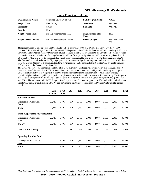#### **Long Term Control Plan**

| <b>BCL/Program Name:</b>      | <b>Combined Sewer Overflows</b> | <b>BCL/Program Code:</b>     | C360B                      |
|-------------------------------|---------------------------------|------------------------------|----------------------------|
| <b>Project Type:</b>          | New Facility                    | <b>Start Date:</b>           | O3/2008                    |
| <b>Project ID:</b>            | C <sub>3604</sub>               | <b>End Date:</b>             | O4/2025                    |
| <b>Location:</b>              | N/A                             |                              |                            |
| Neighborhood Plan:            | Not in a Neighborhood Plan      | Neighborhood Plan<br>Matrix: | N/A                        |
| <b>Neighborhood District:</b> | Not in a Neighborhood District  | <b>Urban Village:</b>        | Not in an Urban<br>Village |

This program creates a Long Term Control Plan (LTCP) in accordance with SPU's Combined Sewer Overflow (CSO) National Pollutant Discharge Elimination System (NPDES) permit and the Federal CSO Control Policy. On May 1, 2012, the Environmental Protection Agency/Department of Justice issued a draft Consent Decree to the City of Seattle which requires the development and submission of a Long-Term Control Plan for approval by May 30, 2015. It further stipulates that all CSO Control Measures are to be constructed as expeditiously as practicable, and in no event later than December 31, 2025. The Consent Decree also allows the City to propose storm water control project(s) as part of an Integrated Plan, in addition to the CSO Control Measures. If approved, the storm water projects can be constructed first and the CSO Control Measures deferred beyond the December  $2025$  due date.

The LTCP will reduce the number and volume of its CSO overflows, meet receiving water quality standards, and protect designated beneficial uses. The LTCP includes, flow characterization, monitoring, and hydraulic modeling; development CSO control alternatives; development of control alternatives that takes into consideration costs and performance; operational plan revisions; public participation; implementation schedule; and post-construction monitoring. The Program also includes a Programmatic SEPA EIS (Note: includes the Alaskan Way Viaduct & Seawall Program C4102). The Plan and EIS will be submitted to EPA/Washington State Department of Ecology for approval in 2015 and will include all City of Seattle CSO basins except existing CSO Projects at Windermere, Genesee, Henderson and Central Waterfront (except as noted).

|                                        | <b>LTD</b><br><b>Actuals</b> | 2013<br>Rev | 2014  | 2015  | 2016  | 2017  | 2018  | 2019  | <b>Total</b> |
|----------------------------------------|------------------------------|-------------|-------|-------|-------|-------|-------|-------|--------------|
| <b>Revenue Sources</b>                 |                              |             |       |       |       |       |       |       |              |
| Drainage and Wastewater<br>Rates       | 27,713                       | 6,305       | 4,510 | 2,780 | 2,000 | 2,000 | 2,000 | 2,000 | 49,308       |
| Total:                                 | 27,713                       | 6,305       | 4,510 | 2,780 | 2,000 | 2,000 | 2,000 | 2,000 | 49,308       |
| <b>Fund Appropriations/Allocations</b> |                              |             |       |       |       |       |       |       |              |
| Drainage and Wastewater<br>Fund        | 27,713                       | 6,305       | 4,510 | 2,780 | 2,000 | 2,000 | 2,000 | 2,000 | 49,308       |
| Total*:                                | 27,713                       | 6,305       | 4,510 | 2,780 | 2,000 | 2,000 | 2,000 | 2,000 | 49,308       |
| $\overline{O}$ & M Costs (Savings)     |                              |             | 493   | 493   | 493   | 493   | 493   | 493   | 2,958        |
| <b>Spending Plan by Fund</b>           |                              |             |       |       |       |       |       |       |              |
| Drainage and Wastewater<br>Fund        |                              | 4,302       | 4,510 | 2,780 | 2,000 | 2,000 | 2,000 | 2,000 | 19,592       |
| <b>Total:</b>                          |                              | 4,302       | 4,510 | 2,780 | 2,000 | 2,000 | 2,000 | 2,000 | 19,592       |

*\*This detail is for information only. Funds are appropriated in the budget at the Budget Control Level. Amounts are in thousands of dollars.*

**2014 - 2019 Adopted Capital Improvement Program**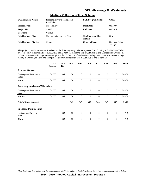|                               | <u>Madison valley Long Term Solution</u>   |                              |                            |  |  |  |  |  |  |
|-------------------------------|--------------------------------------------|------------------------------|----------------------------|--|--|--|--|--|--|
| <b>BCL/Program Name:</b>      | Flooding, Sewer Back-up, and<br>Landslides | <b>BCL/Program Code:</b>     | C380B                      |  |  |  |  |  |  |
| <b>Project Type:</b>          | New Facility                               | <b>Start Date:</b>           | O1/2007                    |  |  |  |  |  |  |
| <b>Project ID:</b>            | C <sub>3805</sub>                          | <b>End Date:</b>             | O <sub>2</sub> /2014       |  |  |  |  |  |  |
| Location:                     | Various                                    |                              |                            |  |  |  |  |  |  |
| <b>Neighborhood Plan:</b>     | Not in a Neighborhood Plan                 | Neighborhood Plan<br>Matrix: | N/A                        |  |  |  |  |  |  |
| <b>Neighborhood District:</b> | Central                                    | Urban Village:               | Not in an Urban<br>Village |  |  |  |  |  |  |

#### **Madison Valley Long Term Solution**

This project provides stormwater flood control facilities to greatly reduce the potential for flooding in the Madison Valley area, especially in the vicinity of 30th Ave E. and E. John St, and in the area of 29th Ave E. and E. Madison St. Work will include construction of a large stormwater pipe in the NW section of the Madison Valley basin, a new stormwater storage facility in Washington Park, and an expanded stormwater retention area at 30th Ave E. and E. John St.

|                                        | <b>LTD</b><br><b>Actuals</b> | 2013<br>Rev | 2014 | 2015             | 2016           | 2017           | 2018           | 2019             | <b>Total</b> |
|----------------------------------------|------------------------------|-------------|------|------------------|----------------|----------------|----------------|------------------|--------------|
| <b>Revenue Sources</b>                 |                              |             |      |                  |                |                |                |                  |              |
| Drainage and Wastewater<br>Rates       | 34,036                       | 384         | 50   | $\boldsymbol{0}$ | $\mathbf{0}$   | $\overline{0}$ | $\mathbf{0}$   | $\overline{0}$   | 34,470       |
| <b>Total:</b>                          | 34,036                       | 384         | 50   | $\mathbf{0}$     | $\mathbf{0}$   | $\mathbf{0}$   | $\theta$       | $\overline{0}$   | 34,470       |
| <b>Fund Appropriations/Allocations</b> |                              |             |      |                  |                |                |                |                  |              |
| Drainage and Wastewater<br>Fund        | 34,036                       | 384         | 50   | $\mathbf{0}$     | $\overline{0}$ | $\overline{0}$ | $\mathbf{0}$   | $\mathbf{0}$     | 34,470       |
| Total*:                                | 34,036                       | 384         | 50   | $\mathbf{0}$     | $\overline{0}$ | $\overline{0}$ | $\overline{0}$ | $\boldsymbol{0}$ | 34,470       |
| $\overline{O}$ & M Costs (Savings)     |                              |             | 345  | 345              | 345            | 345            | 345            | 345              | 2,068        |
| <b>Spending Plan by Fund</b>           |                              |             |      |                  |                |                |                |                  |              |
| Drainage and Wastewater<br>Fund        |                              | 662         | 50   | $\mathbf{0}$     | $\theta$       | $\overline{0}$ | $\mathbf{0}$   | $\theta$         | 712          |
| <b>Total:</b>                          |                              | 662         | 50   | $\mathbf{0}$     | $\theta$       | $\theta$       | $\theta$       | $\overline{0}$   | 712          |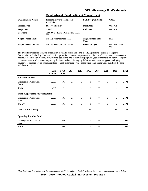| <b>BCL/Program Name:</b>      | Flooding, Sewer Back-up, and<br>Landslides | <b>BCL/Program Code:</b>     | C380B                      |
|-------------------------------|--------------------------------------------|------------------------------|----------------------------|
| <b>Project Type:</b>          | <b>Improved Facility</b>                   | <b>Start Date:</b>           | O1/2012                    |
| <b>Project ID:</b>            | C <sub>3808</sub>                          | <b>End Date:</b>             | O4/2014                    |
| Location:                     | 35th AVE NE/NE 105th ST/NE 110th<br>SТ     |                              |                            |
| <b>Neighborhood Plan:</b>     | Not in a Neighborhood Plan                 | Neighborhood Plan<br>Matrix: | N/A                        |
| <b>Neighborhood District:</b> | Not in a Neighborhood District             | Urban Village:               | Not in an Urban<br>Village |

#### **Meadowbrook Pond Sediment Management**

The project provides for dredging of sediment in Meadowbrook Pond and modifying existing structures to improve functionality of the facility. These tasks will improve the maintenance operations and the cost efficiency and management of Meadowbrook Pond by reducing flow volume, sediments, and contaminants; capturing sediments more efficiently to improve maintenance and worker safety; improving dredging methods; developing definitive maintenance triggers; modifying structures to manage debris, improving flood control; expanding bypass capacity; and increasing water quality in the pond and downstream.

|                                        | <b>LTD</b><br><b>Actuals</b> | 2013<br>Rev | 2014 | 2015             | 2016           | 2017           | 2018             | 2019             | <b>Total</b> |
|----------------------------------------|------------------------------|-------------|------|------------------|----------------|----------------|------------------|------------------|--------------|
| <b>Revenue Sources</b>                 |                              |             |      |                  |                |                |                  |                  |              |
| Drainage and Wastewater<br>Rates       | 2,526                        | 135         | 31   | $\mathbf{0}$     | $\overline{0}$ | $\overline{0}$ | $\mathbf{0}$     | $\mathbf{0}$     | 2,692        |
| <b>Total:</b>                          | 2,526                        | 135         | 31   | $\mathbf{0}$     | $\mathbf{0}$   | $\mathbf{0}$   | $\boldsymbol{0}$ | $\boldsymbol{0}$ | 2,692        |
| <b>Fund Appropriations/Allocations</b> |                              |             |      |                  |                |                |                  |                  |              |
| Drainage and Wastewater<br>Fund        | 2,526                        | 135         | 31   | $\mathbf{0}$     | $\overline{0}$ | $\theta$       | $\mathbf{0}$     | $\mathbf{0}$     | 2,692        |
| Total*:                                | 2,526                        | 135         | 31   | $\boldsymbol{0}$ | $\overline{0}$ | $\theta$       | $\mathbf{0}$     | $\boldsymbol{0}$ | 2,692        |
| O & M Costs (Savings)                  |                              |             | 27   | 27               | 27             | 27             | 27               | 27               | 162          |
| <b>Spending Plan by Fund</b>           |                              |             |      |                  |                |                |                  |                  |              |
| Drainage and Wastewater<br>Fund        |                              | 959         | 31   | $\mathbf{0}$     | $\overline{0}$ | $\overline{0}$ | $\mathbf{0}$     | $\mathbf{0}$     | 990          |
| <b>Total:</b>                          |                              | 959         | 31   | $\theta$         | $\theta$       | $\theta$       | $\mathbf{0}$     | $\overline{0}$   | 990          |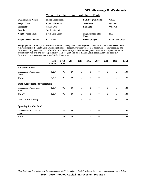#### **Mercer Corridor Project East Phase - DWF**

| <b>BCL/Program Name:</b>      | <b>Shared Cost Projects</b> | <b>BCL/Program Code:</b>            | C410B            |
|-------------------------------|-----------------------------|-------------------------------------|------------------|
| <b>Project Type:</b>          | <b>Improved Facility</b>    | <b>Start Date:</b>                  | O1/2007          |
| <b>Project ID:</b>            | $C4114-DWF$                 | <b>End Date:</b>                    | O4/2014          |
| <b>Location:</b>              | South Lake Union            |                                     |                  |
| Neighborhood Plan:            | South Lake Union            | Neighborhood Plan<br><b>Matrix:</b> | N/A              |
| <b>Neighborhood District:</b> | Lake Union                  | Urban Village:                      | South Lake Union |

This program funds the repair, relocation, protection, and upgrade of drainage and wastewater infrastructure related to the redevelopment of the South Lake Union neighborhood. Program work includes, but is not limited to, flow modeling and development of green roofs. This effort identifies SPU drainage and wastewater system direct impacts, opportunities for system improvements, and cost responsibility. This program also funds planning-level coordination with other city departments on projects within the South Lake Union area.

|                                        | <b>LTD</b><br><b>Actuals</b> | 2013<br>Rev | 2014 | 2015         | 2016         | 2017           | 2018         | 2019             | <b>Total</b> |
|----------------------------------------|------------------------------|-------------|------|--------------|--------------|----------------|--------------|------------------|--------------|
| <b>Revenue Sources</b>                 |                              |             |      |              |              |                |              |                  |              |
| Drainage and Wastewater<br>Rates       | 6,294                        | 795         | 50   | $\mathbf{0}$ | $\mathbf{0}$ | $\overline{0}$ | $\mathbf{0}$ | $\mathbf{0}$     | 7,139        |
| <b>Total:</b>                          | 6,294                        | 795         | 50   | $\mathbf{0}$ | $\mathbf{0}$ | $\mathbf{0}$   | $\mathbf{0}$ | $\boldsymbol{0}$ | 7,139        |
| <b>Fund Appropriations/Allocations</b> |                              |             |      |              |              |                |              |                  |              |
| Drainage and Wastewater<br>Fund        | 6,294                        | 795         | 50   | $\mathbf{0}$ | $\mathbf{0}$ | $\overline{0}$ | $\mathbf{0}$ | $\overline{0}$   | 7,139        |
| Total*:                                | 6,294                        | 795         | 50   | $\mathbf{0}$ | $\theta$     | $\theta$       | $\mathbf{0}$ | $\mathbf{0}$     | 7,139        |
| O & M Costs (Savings)                  |                              |             | 71   | 71           | 71           | 71             | 71           | 71               | 428          |
| <b>Spending Plan by Fund</b>           |                              |             |      |              |              |                |              |                  |              |
| Drainage and Wastewater<br>Fund        |                              | 745         | 50   | $\mathbf{0}$ | $\theta$     | $\theta$       | $\mathbf{0}$ | $\theta$         | 795          |
| <b>Total:</b>                          |                              | 745         | 50   | $\mathbf{0}$ | $\theta$     | $\overline{0}$ | $\theta$     | $\overline{0}$   | 795          |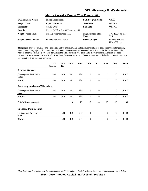#### **Mercer Corridor Project West Phase - DWF**

| <b>BCL/Program Name:</b>      | <b>Shared Cost Projects</b>         | <b>BCL/Program Code:</b>     | C410B                                 |
|-------------------------------|-------------------------------------|------------------------------|---------------------------------------|
| <b>Project Type:</b>          | <b>Improved Facility</b>            | <b>Start Date:</b>           | O1/2010                               |
| <b>Project ID:</b>            | C4133-DWF                           | <b>End Date:</b>             | O4/2015                               |
| Location:                     | Mercer St/Elliot Ave W/Dexter Ave N |                              |                                       |
| Neighborhood Plan:            | Not in a Neighborhood Plan          | Neighborhood Plan<br>Matrix: | T01, T02, T03, T11<br>T <sub>15</sub> |
| <b>Neighborhood District:</b> | In more than one District           | <b>Urban Village:</b>        | In more than one<br>Urban Village     |

This project provides drainage and wastewater utility improvements and relocations related to the Mercer Corridor project, West phase. The project will convert Mercer Street to a two-way street between Dexter Ave. and Elliott Ave. West. The Mercer underpass at Aurora Ave will be widened to allow for six travel lanes and a bicycle/pedestrian shared-use path between Dexter Ave and 5th Ave North. Roy Street, between Aurora and Queen Anne Ave., will also be converted to a twoway street with on-road bicycle lanes.

|                                        | <b>LTD</b><br><b>Actuals</b> | 2013<br>Rev | 2014 | 2015 | 2016           | 2017           | 2018         | 2019             | <b>Total</b> |
|----------------------------------------|------------------------------|-------------|------|------|----------------|----------------|--------------|------------------|--------------|
| <b>Revenue Sources</b>                 |                              |             |      |      |                |                |              |                  |              |
| Drainage and Wastewater<br>Rates       | 244                          | 629         | 649  | 294  | $\mathbf{0}$   | $\mathbf{0}$   | $\mathbf{0}$ | $\mathbf{0}$     | 1,817        |
| <b>Total:</b>                          | 244                          | 629         | 649  | 294  | $\mathbf{0}$   | $\mathbf{0}$   | $\mathbf{0}$ | $\boldsymbol{0}$ | 1,817        |
| <b>Fund Appropriations/Allocations</b> |                              |             |      |      |                |                |              |                  |              |
| Drainage and Wastewater<br>Fund        | 244                          | 629         | 649  | 294  | $\overline{0}$ | $\overline{0}$ | $\theta$     | $\mathbf{0}$     | 1,817        |
| Total*:                                | 244                          | 629         | 649  | 294  | $\theta$       | $\overline{0}$ | $\theta$     | $\mathbf{0}$     | 1,817        |
| $\overline{O}$ & M Costs (Savings)     |                              |             | 18   | 18   | 18             | 18             | 18           | 18               | 109          |
| <b>Spending Plan by Fund</b>           |                              |             |      |      |                |                |              |                  |              |
| Drainage and Wastewater<br>Fund        |                              | 500         | 649  | 294  | $\theta$       | $\Omega$       | $\Omega$     | $\overline{0}$   | 1,443        |
| <b>Total:</b>                          |                              | 500         | 649  | 294  | $\theta$       | $\theta$       | $\mathbf{0}$ | $\overline{0}$   | 1,443        |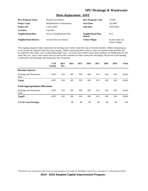#### **Meter Replacement - DWF**

| <b>BCL/Program Name:</b>      | <b>Shared Cost Projects</b>          | <b>BCL/Program Code:</b>     | C410B                             |
|-------------------------------|--------------------------------------|------------------------------|-----------------------------------|
| <b>Project Type:</b>          | <b>Rehabilitation or Restoration</b> | <b>Start Date:</b>           | O1/2004                           |
| <b>Project ID:</b>            | C4101-DWF                            | <b>End Date:</b>             | ONGOING                           |
| <b>Location:</b>              | Citywide                             |                              |                                   |
| Neighborhood Plan:            | Not in a Neighborhood Plan           | Neighborhood Plan<br>Matrix: | N/A                               |
| <b>Neighborhood District:</b> | In more than one District            | <b>Urban Village:</b>        | In more than one<br>Urban Village |

This ongoing program funds replacement of existing water meters when they fail or become obsolete. Meters measuring up to two inches are replaced when they stop running. Meters measuring three inches or more are repaired when possible, but are replaced when repair costs exceed replacement costs. Accurate water meters ensure that customers are billed fairly for the water they use. Since water meters also are used to bill customers for their wastewater discharges, 48 percent of the funding is allocated to the Drainage and Wastewater line of business.

|                                        | <b>LTD</b><br><b>Actuals</b> | 2013<br>Rev | 2014 | 2015 | 2016 | 2017 | 2018 | 2019 | <b>Total</b> |
|----------------------------------------|------------------------------|-------------|------|------|------|------|------|------|--------------|
| <b>Revenue Sources</b>                 |                              |             |      |      |      |      |      |      |              |
| Drainage and Wastewater<br>Rates       | 4,307                        | 652         | 585  | 595  | 605  | 615  | 630  | 636  | 8,626        |
| <b>Total:</b>                          | 4,307                        | 652         | 585  | 595  | 605  | 615  | 630  | 636  | 8,626        |
| <b>Fund Appropriations/Allocations</b> |                              |             |      |      |      |      |      |      |              |
| Drainage and Wastewater<br>Fund        | 4,307                        | 652         | 585  | 595  | 605  | 615  | 630  | 636  | 8,626        |
| Total*:                                | 4,307                        | 652         | 585  | 595  | 605  | 615  | 630  | 636  | 8,626        |
| O & M Costs (Savings)                  |                              |             | 86   | 86   | 86   | 86   | 86   | 86   | 518          |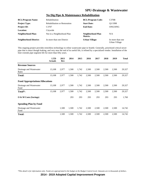| <b>BCL/Program Name:</b>      | Rehabilitation                       | <b>BCL/Program Code:</b>     | C370B                             |
|-------------------------------|--------------------------------------|------------------------------|-----------------------------------|
| <b>Project Type:</b>          | <b>Rehabilitation or Restoration</b> | <b>Start Date:</b>           | O1/1998                           |
| <b>Project ID:</b>            | C <sub>3707</sub>                    | <b>End Date:</b>             | ONGOING                           |
| <b>Location:</b>              | Citywide                             |                              |                                   |
| <b>Neighborhood Plan:</b>     | Not in a Neighborhood Plan           | Neighborhood Plan<br>Matrix: | N/A                               |
| <b>Neighborhood District:</b> | In more than one District            | <b>Urban Village:</b>        | In more than one<br>Urban Village |

#### **No Dig Pipe & Maintenance Rehabilitation**

This ongoing project provides trenchless technology to reline wastewater pipe in Seattle. Generally, prioritized critical sewer pipe that is intact though leaking, and very near the end of its useful life, is relined by a specialized vendor. Installation of the liner extends pipe segment life for more than fifty years.

|                                        | <b>LTD</b><br><b>Actuals</b> | 2013<br>Rev | 2014  | 2015  | 2016  | 2017  | 2018  | 2019  | <b>Total</b> |
|----------------------------------------|------------------------------|-------------|-------|-------|-------|-------|-------|-------|--------------|
| <b>Revenue Sources</b>                 |                              |             |       |       |       |       |       |       |              |
| Drainage and Wastewater<br>Rates       | 13,108                       | 2,977       | 1,500 | 1,742 | 2,500 | 2,500 | 2,500 | 2,500 | 29,327       |
| Total:                                 | 13,108                       | 2,977       | 1,500 | 1,742 | 2,500 | 2,500 | 2,500 | 2,500 | 29,327       |
| <b>Fund Appropriations/Allocations</b> |                              |             |       |       |       |       |       |       |              |
| Drainage and Wastewater<br>Fund        | 13,108                       | 2,977       | 1,500 | 1,742 | 2,500 | 2,500 | 2,500 | 2,500 | 29,327       |
| Total*:                                | 13,108                       | 2,977       | 1,500 | 1,742 | 2,500 | 2,500 | 2,500 | 2,500 | 29,327       |
| O & M Costs (Savings)                  |                              |             | 293   | 293   | 293   | 293   | 293   | 293   | 1,760        |
| <b>Spending Plan by Fund</b>           |                              |             |       |       |       |       |       |       |              |
| Drainage and Wastewater<br>Fund        |                              | 1,500       | 1,500 | 1,742 | 2,500 | 2,500 | 2,500 | 2,500 | 14,742       |
| <b>Total:</b>                          |                              | 1,500       | 1,500 | 1,742 | 2,500 | 2,500 | 2,500 | 2,500 | 14,742       |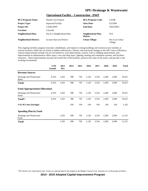#### **Operational Facility - Construction - DWF**

| <b>BCL/Program Name:</b>      | <b>Shared Cost Projects</b> | <b>BCL/Program Code:</b>     | C410B                      |
|-------------------------------|-----------------------------|------------------------------|----------------------------|
| <b>Project Type:</b>          | <b>Improved Facility</b>    | <b>Start Date:</b>           | O <sub>1</sub> /2004       |
| <b>Project ID:</b>            | C4106-DWF                   | <b>End Date:</b>             | ONGOING                    |
| <b>Location:</b>              | Citywide                    |                              |                            |
| Neighborhood Plan:            | Not in a Neighborhood Plan  | Neighborhood Plan<br>Matrix: | N/A                        |
| <b>Neighborhood District:</b> | In more than one District   | <b>Urban Village:</b>        | Not in an Urban<br>Village |

This ongoing facilities program renovates, rehabilitates, and replaces existing buildings and constructs new facilities at various locations within the city limits to address deficiencies, failures, and functional changes in the SPU Lines of Business. Typical improvements include, but are not limited to, roof replacements, exterior wall or cladding replacements, and improvements to administrative office space, crew and shop space, lighting, heating and ventilation systems, and facilities structures. These improvements increase the useful life of the facilities, preserve the value of the assets, and provide a safe working environment.

|                                        | <b>LTD</b><br><b>Actuals</b> | 2013<br>Rev | 2014 | 2015 | 2016  | 2017  | 2018  | 2019  | <b>Total</b> |
|----------------------------------------|------------------------------|-------------|------|------|-------|-------|-------|-------|--------------|
| <b>Revenue Sources</b>                 |                              |             |      |      |       |       |       |       |              |
| Drainage and Wastewater<br>Rates       | 8,163                        | 1,263       | 398  | 703  | 1,120 | 3,534 | 2,200 | 2,040 | 19,421       |
| <b>Total:</b>                          | 8,163                        | 1,263       | 398  | 703  | 1,120 | 3,534 | 2,200 | 2,040 | 19,421       |
| <b>Fund Appropriations/Allocations</b> |                              |             |      |      |       |       |       |       |              |
| Drainage and Wastewater<br>Fund        | 8,163                        | 1,263       | 398  | 703  | 1,120 | 3,534 | 2,200 | 2,040 | 19,421       |
| Total*:                                | 8,163                        | 1,263       | 398  | 703  | 1,120 | 3,534 | 2,200 | 2,040 | 19,421       |
| O & M Costs (Savings)                  |                              |             | 194  | 194  | 194   | 194   | 194   | 194   | 1,165        |
| <b>Spending Plan by Fund</b>           |                              |             |      |      |       |       |       |       |              |
| Drainage and Wastewater<br>Fund        |                              | 1,256       | 398  | 703  | 1,120 | 3,534 | 2,200 | 2,040 | 11,251       |
| <b>Total:</b>                          |                              | 1,256       | 398  | 703  | 1,120 | 3,534 | 2,200 | 2,040 | 11,251       |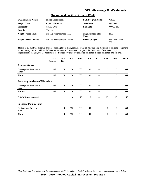#### **Operational Facility - Other - DWF**

| <b>BCL/Program Name:</b>      | <b>Shared Cost Projects</b>    | <b>BCL/Program Code:</b>     | C410B                      |
|-------------------------------|--------------------------------|------------------------------|----------------------------|
| <b>Project Type:</b>          | <b>Improved Facility</b>       | <b>Start Date:</b>           | O <sub>1</sub> /2006       |
| <b>Project ID:</b>            | C4115-DWF                      | <b>End Date:</b>             | ONGOING                    |
| Location:                     | Various                        |                              |                            |
| Neighborhood Plan:            | Not in a Neighborhood Plan     | Neighborhood Plan<br>Matrix: | N/A                        |
| <b>Neighborhood District:</b> | Not in a Neighborhood District | Urban Village:               | Not in an Urban<br>Village |

This ongoing facilities program provides funding to purchase, replace, or install new building materials or building equipment within the city limits to address deficiencies, failures, and functional changes in the SPU Lines of Business. Typical improvements include, but are not limited to, drainage systems, prefabricated buildings, storage buildings, and fencing.

|                                        | <b>LTD</b><br><b>Actuals</b> | 2013<br>Rev    | 2014 | 2015 | 2016 | 2017           | 2018             | 2019             | <b>Total</b> |
|----------------------------------------|------------------------------|----------------|------|------|------|----------------|------------------|------------------|--------------|
| <b>Revenue Sources</b>                 |                              |                |      |      |      |                |                  |                  |              |
| Drainage and Wastewater<br>Rates       | 329                          | 75             | 150  | 300  | 100  | $\theta$       | $\mathbf{0}$     | $\mathbf{0}$     | 954          |
| Total:                                 | 329                          | 75             | 150  | 300  | 100  | $\mathbf{0}$   | $\mathbf{0}$     | $\boldsymbol{0}$ | 954          |
| <b>Fund Appropriations/Allocations</b> |                              |                |      |      |      |                |                  |                  |              |
| Drainage and Wastewater<br>Fund        | 329                          | 75             | 150  | 300  | 100  | $\theta$       | $\overline{0}$   | $\mathbf{0}$     | 954          |
| Total*:                                | 329                          | 75             | 150  | 300  | 100  | $\overline{0}$ | $\boldsymbol{0}$ | $\boldsymbol{0}$ | 954          |
| O & M Costs (Savings)                  |                              |                | 10   | 10   | 10   | 10             | 10               | 10               | 57           |
| <b>Spending Plan by Fund</b>           |                              |                |      |      |      |                |                  |                  |              |
| Drainage and Wastewater<br>Fund        |                              | $\overline{0}$ | 150  | 300  | 100  | $\theta$       | $\overline{0}$   | $\mathbf{0}$     | 550          |
| <b>Total:</b>                          |                              | $\theta$       | 150  | 300  | 100  | $\theta$       | $\mathbf{0}$     | $\overline{0}$   | 550          |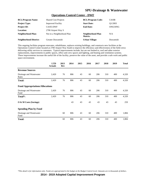#### **Operations Control Center - DWF**

| <b>BCL/Program Name:</b>      | <b>Shared Cost Projects</b> | <b>BCL/Program Code:</b>     | C410B    |
|-------------------------------|-----------------------------|------------------------------|----------|
| <b>Project Type:</b>          | <b>Improved Facility</b>    | <b>Start Date:</b>           | O1/2003  |
| <b>Project ID:</b>            | $C4105-DWF$                 | <b>End Date:</b>             | ONGOING  |
| <b>Location:</b>              | 2700 Airport Way S          |                              |          |
| Neighborhood Plan:            | Not in a Neighborhood Plan  | Neighborhood Plan<br>Matrix: | N/A      |
| <b>Neighborhood District:</b> | <b>Greater Duwamish</b>     | <b>Urban Village:</b>        | Duwamish |

This ongoing facilities program renovates, rehabilitates, replaces existing buildings, and constructs new facilities at the Operations Control Center located at 2700 Airport Way South to improve the efficiency and effectiveness of the field crews delivering utility services to customers. Typical improvements include, but are not limited to, roof and other exterior replacements, improvements to public spaces, office and crew spaces and lighting, and heating and ventilation systems. These improvements increase the useful life of the facility, preserve the value of the asset, and provide a safe work and public space environment.

|                                        | <b>LTD</b><br><b>Actuals</b> | 2013<br>Rev | 2014 | 2015 | 2016 | 2017 | 2018 | 2019 | <b>Total</b> |
|----------------------------------------|------------------------------|-------------|------|------|------|------|------|------|--------------|
| <b>Revenue Sources</b>                 |                              |             |      |      |      |      |      |      |              |
| Drainage and Wastewater<br>Rates       | 2,420                        | 76          | 806  | 43   | 60   | 206  | 310  | 400  | 4,320        |
| Total:                                 | 2,420                        | 76          | 806  | 43   | 60   | 206  | 310  | 400  | 4,320        |
| <b>Fund Appropriations/Allocations</b> |                              |             |      |      |      |      |      |      |              |
| Drainage and Wastewater<br>Fund        | 2,420                        | 76          | 806  | 43   | 60   | 206  | 310  | 400  | 4,320        |
| Total*:                                | 2,420                        | 76          | 806  | 43   | 60   | 206  | 310  | 400  | 4,320        |
| $\overline{O}$ & M Costs (Savings)     |                              |             | 43   | 43   | 43   | 43   | 43   | 43   | 259          |
| <b>Spending Plan by Fund</b>           |                              |             |      |      |      |      |      |      |              |
| Drainage and Wastewater<br>Fund        |                              | 60          | 806  | 43   | 60   | 206  | 310  | 400  | 1,884        |
| <b>Total:</b>                          |                              | 60          | 806  | 43   | 60   | 206  | 310  | 400  | 1,884        |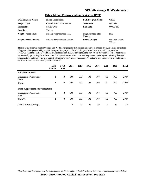| <b>BCL/Program Name:</b>      | <b>Shared Cost Projects</b>          | <b>BCL/Program Code:</b>     | C410B                      |
|-------------------------------|--------------------------------------|------------------------------|----------------------------|
| <b>Project Type:</b>          | <b>Rehabilitation or Restoration</b> | <b>Start Date:</b>           | O <sub>2</sub> /2008       |
| <b>Project ID:</b>            | C4123-DWF                            | <b>End Date:</b>             | ONGOING                    |
| <b>Location:</b>              | Various                              |                              |                            |
| <b>Neighborhood Plan:</b>     | Not in a Neighborhood Plan           | Neighborhood Plan<br>Matrix: | N/A                        |
| <b>Neighborhood District:</b> | Not in a Neighborhood District       | <b>Urban Village:</b>        | Not in an Urban<br>Village |

#### **Other Major Transportation Projects - DWF**

This ongoing program funds Drainage and Wastewater projects that mitigate undesirable impacts from, and takes advantage of opportunities generated by, capital transportation projects of the Washington State Department of Transportation (WSDOT) and the Seattle Department of Transportation (SDOT) throughout the city. Work may include, but is not limited to, physically protecting the infrastructure during the transportation construction process, repairing and replacing damaged infrastructure, and improving existing infrastructure to meet higher standards. Project sites may include, but are not limited to, State Route 520, Interstate 5, and Interstate 90.

|                                        | <b>LTD</b><br><b>Actuals</b> | 2013<br>Rev | 2014 | 2015 | 2016 | 2017 | 2018 | 2019 | <b>Total</b> |
|----------------------------------------|------------------------------|-------------|------|------|------|------|------|------|--------------|
| <b>Revenue Sources</b>                 |                              |             |      |      |      |      |      |      |              |
| Drainage and Wastewater<br>Rates       |                              | $\theta$    | 568  | 580  | 198  | 100  | 750  | 750  | 2,947        |
| <b>Total:</b>                          |                              | $\theta$    | 568  | 580  | 198  | 100  | 750  | 750  | 2,947        |
| <b>Fund Appropriations/Allocations</b> |                              |             |      |      |      |      |      |      |              |
| Drainage and Wastewater<br>Fund        | 1                            | $\theta$    | 568  | 580  | 198  | 100  | 750  | 750  | 2,947        |
| Total <sup>*</sup> :                   |                              | $\theta$    | 568  | 580  | 198  | 100  | 750  | 750  | 2,947        |
| O & M Costs (Savings)                  |                              |             | 29   | 29   | 29   | 29   | 29   | 29   | 177          |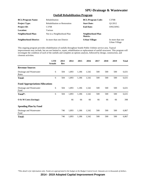#### **Outfall Rehabilitation Program**

| <b>BCL/Program Name:</b>      | <b>Rehabilitation</b>                | <b>BCL/Program Code:</b>     | C370B                             |
|-------------------------------|--------------------------------------|------------------------------|-----------------------------------|
| <b>Project Type:</b>          | <b>Rehabilitation or Restoration</b> | <b>Start Date:</b>           | O1/2012                           |
| <b>Project ID:</b>            | C <sub>3708</sub>                    | <b>End Date:</b>             | ONGOING                           |
| <b>Location:</b>              | Various                              |                              |                                   |
| <b>Neighborhood Plan:</b>     | Not in a Neighborhood Plan           | Neighborhood Plan<br>Matrix: |                                   |
| <b>Neighborhood District:</b> | In more than one District            | <b>Urban Village:</b>        | In more than one<br>Urban Village |

This ongoing program provides rehabilitation of outfalls throughout Seattle Public Utilities service area. Typical improvements may include, but are not limited to, repair, rehabilitation or replacement of outfall structures. This program will investigate the condition of each of the outfalls and complete an options analysis, followed by design, construction, and closeout activities.

|                                        | <b>LTD</b><br><b>Actuals</b> | 2013<br><b>Rev</b> | 2014  | 2015  | 2016  | 2017 | 2018 | 2019 | <b>Total</b> |
|----------------------------------------|------------------------------|--------------------|-------|-------|-------|------|------|------|--------------|
| <b>Revenue Sources</b>                 |                              |                    |       |       |       |      |      |      |              |
| Drainage and Wastewater<br>Rates       | 6                            | 504                | 1,893 | 1,186 | 1,542 | 500  | 500  | 500  | 6,631        |
| <b>Total:</b>                          | 6                            | 504                | 1,893 | 1,186 | 1,542 | 500  | 500  | 500  | 6,631        |
| <b>Fund Appropriations/Allocations</b> |                              |                    |       |       |       |      |      |      |              |
| Drainage and Wastewater<br>Fund        | 6                            | 504                | 1,893 | 1,186 | 1,542 | 500  | 500  | 500  | 6,631        |
| Total*:                                | 6                            | 504                | 1,893 | 1,186 | 1,542 | 500  | 500  | 500  | 6,631        |
| O & M Costs (Savings)                  |                              |                    | 66    | 66    | 66    | 66   | 66   | 66   | 398          |
| <b>Spending Plan by Fund</b>           |                              |                    |       |       |       |      |      |      |              |
| Drainage and Wastewater<br>Fund        |                              | 746                | 1,893 | 1,186 | 1,542 | 500  | 500  | 500  | 6,867        |
| <b>Total:</b>                          |                              | 746                | 1,893 | 1,186 | 1,542 | 500  | 500  | 500  | 6,867        |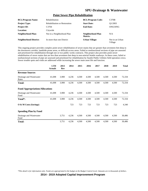#### **Point Sewer Pipe Rehabilitation**

| <b>BCL/Program Name:</b>      | <b>Rehabilitation</b>                | <b>BCL/Program Code:</b>     | C370B                      |
|-------------------------------|--------------------------------------|------------------------------|----------------------------|
| <b>Project Type:</b>          | <b>Rehabilitation or Restoration</b> | <b>Start Date:</b>           | O <sub>1</sub> /2003       |
| <b>Project ID:</b>            | C <sub>3704</sub>                    | <b>End Date:</b>             | ONGOING                    |
| Location:                     | Citywide                             |                              |                            |
| Neighborhood Plan:            | Not in a Neighborhood Plan           | Neighborhood Plan<br>Matrix: | N/A                        |
| <b>Neighborhood District:</b> | In more than one District            | <b>Urban Village:</b>        | Not in an Urban<br>Village |

This ongoing project provides complex point sewer rehabilitation of sewer mains that are greater than seventeen feet deep in the downtown corridor, landslide prone areas, or difficult access areas. Failed or nonfunctional sections of pipe are assessed and prioritized for rehabilitation through one or two public works contracts. This project also provides point sewer rehabilitation of sewer mains that are less than seventeen feet deep in non-arterial Seattle roadways. In these cases, failed or nonfunctional sections of pipe are assessed and prioritized for rehabilitation by Seattle Public Utilities field operation crews. Sewer trouble spots and voids are addressed while increasing the sewer main asset life and function.

|                                        | <b>LTD</b><br><b>Actuals</b> | 2013<br>Rev | 2014  | 2015  | 2016  | 2017  | 2018  | 2019  | <b>Total</b> |
|----------------------------------------|------------------------------|-------------|-------|-------|-------|-------|-------|-------|--------------|
| <b>Revenue Sources</b>                 |                              |             |       |       |       |       |       |       |              |
| Drainage and Wastewater<br>Rates       | 41,698                       | 3,900       | 4,236 | 4,500 | 4,500 | 4,500 | 4,500 | 4,500 | 72,334       |
| <b>Total:</b>                          | 41,698                       | 3,900       | 4,236 | 4,500 | 4,500 | 4,500 | 4,500 | 4,500 | 72,334       |
| <b>Fund Appropriations/Allocations</b> |                              |             |       |       |       |       |       |       |              |
| Drainage and Wastewater<br>Fund        | 41,698                       | 3,900       | 4,236 | 4,500 | 4,500 | 4,500 | 4,500 | 4,500 | 72,334       |
| Total*:                                | 41,698                       | 3,900       | 4,236 | 4,500 | 4,500 | 4,500 | 4,500 | 4,500 | 72,334       |
| O & M Costs (Savings)                  |                              |             | 723   | 723   | 723   | 723   | 723   | 723   | 4,340        |
| <b>Spending Plan by Fund</b>           |                              |             |       |       |       |       |       |       |              |
| Drainage and Wastewater<br>Fund        |                              | 3,751       | 4,236 | 4,500 | 4,500 | 4,500 | 4,500 | 4,500 | 30,486       |
| <b>Total:</b>                          |                              | 3,751       | 4,236 | 4,500 | 4,500 | 4,500 | 4,500 | 4,500 | 30,486       |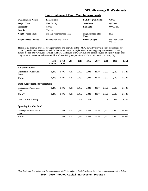#### **Pump Station and Force Main Improvements**

| <b>BCL/Program Name:</b>      | <b>Rehabilitation</b>      | <b>BCL/Program Code:</b>     | C370B                      |
|-------------------------------|----------------------------|------------------------------|----------------------------|
| <b>Project Type:</b>          | New Facility               | <b>Start Date:</b>           | O <sub>1</sub> /2008       |
| <b>Project ID:</b>            | C <sub>3703</sub>          | <b>End Date:</b>             | ONGOING                    |
| Location:                     | Various                    |                              |                            |
| Neighborhood Plan:            | Not in a Neighborhood Plan | Neighborhood Plan<br>Matrix: | N/A                        |
| <b>Neighborhood District:</b> | In more than one District  | <b>Urban Village:</b>        | Not in an Urban<br>Village |

This ongoing program provides for improvements and upgrades to the 68 SPU-owned wastewater pump stations and force mains. Typical improvements may include, but are not limited to, replacement of existing pump station assets including pumps, motors, and valves, and installation of new assets such as SCADA systems, generators, and emergency plugs. This program enhances and extends the useful life of the existing pump stations which, in turn, protects water quality.

|                                        | <b>LTD</b><br><b>Actuals</b> | 2013<br>Rev | 2014  | 2015  | 2016  | 2017  | 2018  | 2019  | <b>Total</b> |
|----------------------------------------|------------------------------|-------------|-------|-------|-------|-------|-------|-------|--------------|
| <b>Revenue Sources</b>                 |                              |             |       |       |       |       |       |       |              |
| Drainage and Wastewater<br>Rates       | 8,443                        | 1,896       | 3,251 | 3,432 | 2,838 | 2,520 | 2,520 | 2,520 | 27,421       |
| Total:                                 | 8,443                        | 1,896       | 3,251 | 3,432 | 2,838 | 2,520 | 2,520 | 2,520 | 27,421       |
| <b>Fund Appropriations/Allocations</b> |                              |             |       |       |       |       |       |       |              |
| Drainage and Wastewater<br>Fund        | 8,443                        | 1,896       | 3,251 | 3,432 | 2,838 | 2,520 | 2,520 | 2,520 | 27,421       |
| Total*:                                | 8,443                        | 1,896       | 3,251 | 3,432 | 2,838 | 2,520 | 2,520 | 2,520 | 27,421       |
| O & M Costs (Savings)                  |                              |             | 274   | 274   | 274   | 274   | 274   | 274   | 1,645        |
| <b>Spending Plan by Fund</b>           |                              |             |       |       |       |       |       |       |              |
| Drainage and Wastewater<br>Fund        |                              | 556         | 3,251 | 3,432 | 2,838 | 2,520 | 2,520 | 2,520 | 17,637       |
| Total:                                 |                              | 556         | 3,251 | 3,432 | 2,838 | 2,520 | 2,520 | 2,520 | 17,637       |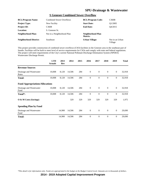#### **S Genesee Combined Sewer Overflow**

| <b>BCL/Program Name:</b>      | <b>Combined Sewer Overflows</b> | <b>BCL/Program Code:</b>     | C360B                      |
|-------------------------------|---------------------------------|------------------------------|----------------------------|
| <b>Project Type:</b>          | New Facility                    | <b>Start Date:</b>           | O1/2005                    |
| <b>Project ID:</b>            | C <sub>3608</sub>               | <b>End Date:</b>             | O4/2015                    |
| Location:                     | S. Genesee St.                  |                              |                            |
| Neighborhood Plan:            | Not in a Neighborhood Plan      | Neighborhood Plan<br>Matrix: |                            |
| <b>Neighborhood District:</b> | Southeast                       | <b>Urban Village:</b>        | Not in an Urban<br>Village |

This project provides construction of combined sewer overflows (CSO) facilities in the Genesee area in the southeast part of Seattle. Facilities will be built to meet level of service requirements for CSOs and comply with state and federal regulations. The project will meet requirements of the City's current National Pollutant Discharge Elimination System (NPDES) Wastewater Discharge Permit.

|                                        | <b>LTD</b><br><b>Actuals</b> | 2013<br>Rev | 2014   | 2015 | 2016         | 2017           | 2018           | 2019           | <b>Total</b> |
|----------------------------------------|------------------------------|-------------|--------|------|--------------|----------------|----------------|----------------|--------------|
| <b>Revenue Sources</b>                 |                              |             |        |      |              |                |                |                |              |
| Drainage and Wastewater<br>Rates       | 10,008                       | 8,120       | 14,506 | 284  | $\mathbf{0}$ | $\overline{0}$ | $\mathbf{0}$   | $\mathbf{0}$   | 32,918       |
| Total:                                 | 10,008                       | 8,120       | 14,506 | 284  | $\mathbf{0}$ | $\theta$       | $\theta$       | $\mathbf{0}$   | 32,918       |
| <b>Fund Appropriations/Allocations</b> |                              |             |        |      |              |                |                |                |              |
| Drainage and Wastewater<br>Fund        | 10,008                       | 8,120       | 14,506 | 284  | $\theta$     | $\overline{0}$ | $\mathbf{0}$   | $\mathbf{0}$   | 32,918       |
| Total*:                                | 10,008                       | 8,120       | 14,506 | 284  | $\mathbf{0}$ | $\theta$       | $\theta$       | $\mathbf{0}$   | 32,918       |
| O & M Costs (Savings)                  |                              |             | 329    | 329  | 329          | 329            | 329            | 329            | 1,975        |
| <b>Spending Plan by Fund</b>           |                              |             |        |      |              |                |                |                |              |
| Drainage and Wastewater<br>Fund        |                              | 14,900      | 14,506 | 284  | $\theta$     | $\overline{0}$ | $\mathbf{0}$   | $\mathbf{0}$   | 29,690       |
| <b>Total:</b>                          |                              | 14,900      | 14,506 | 284  | $\theta$     | $\theta$       | $\overline{0}$ | $\overline{0}$ | 29,690       |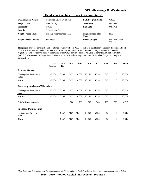| <b>BCL/Program Name:</b>      | <b>Combined Sewer Overflows</b> | <b>BCL/Program Code:</b>     | C360B                      |
|-------------------------------|---------------------------------|------------------------------|----------------------------|
| <b>Project Type:</b>          | New Facility                    | <b>Start Date:</b>           | O1/2005                    |
| <b>Project ID:</b>            | C <sub>3609</sub>               | <b>End Date:</b>             | O4/2018                    |
| <b>Location:</b>              | S Henderson St.                 |                              |                            |
| <b>Neighborhood Plan:</b>     | Not in a Neighborhood Plan      | Neighborhood Plan<br>Matrix: | N/A                        |
| <b>Neighborhood District:</b> | <b>Southeast</b>                | <b>Urban Village:</b>        | Not in an Urban<br>Village |

#### **S Henderson Combined Sewer Overflow Storage**

This project provides construction of combined sewer overflows (CSO) facilities in the Henderson area in the southeast part of Seattle. Facilities will be built to meet level of service requirements for CSOs and comply with state and federal regulations. The project will meet requirements of the City's current National Pollutant Discharge Elimination System (NPDES) Wastewater Discharge Permit. Maintenance costs will not begin until after 2020, when the project completes construction.

|                                        | <b>LTD</b><br><b>Actuals</b> | 2013<br>Rev | 2014  | 2015   | 2016   | 2017   | 2018 | 2019           | <b>Total</b> |
|----------------------------------------|------------------------------|-------------|-------|--------|--------|--------|------|----------------|--------------|
| <b>Revenue Sources</b>                 |                              |             |       |        |        |        |      |                |              |
| Drainage and Wastewater<br>Rates       | 12,804                       | 6,196       | 7,627 | 18,039 | 18,268 | 15,528 | 317  | $\mathbf{0}$   | 78,779       |
| <b>Total:</b>                          | 12,804                       | 6,196       | 7,627 | 18,039 | 18,268 | 15,528 | 317  | $\mathbf{0}$   | 78,779       |
| <b>Fund Appropriations/Allocations</b> |                              |             |       |        |        |        |      |                |              |
| Drainage and Wastewater<br>Fund        | 12,804                       | 6,196       | 7,627 | 18,039 | 18,268 | 15,528 | 317  | $\mathbf{0}$   | 78,779       |
| Total*:                                | 12,804                       | 6,196       | 7,627 | 18,039 | 18,268 | 15,528 | 317  | $\overline{0}$ | 78,779       |
| O & M Costs (Savings)                  |                              |             | 788   | 788    | 788    | 788    | 788  | 788            | 4,727        |
| <b>Spending Plan by Fund</b>           |                              |             |       |        |        |        |      |                |              |
| Drainage and Wastewater<br>Fund        |                              | 4,557       | 7,627 | 18,039 | 18,268 | 15,528 | 317  | $\mathbf{0}$   | 64,336       |
| <b>Total:</b>                          |                              | 4,557       | 7,627 | 18,039 | 18,268 | 15,528 | 317  | $\mathbf{0}$   | 64,336       |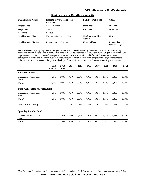| <b>BCL/Program Name:</b>      | Flooding, Sewer Back-up, and<br>Landslides | <b>BCL/Program Code:</b>     | <b>C380B</b>                      |
|-------------------------------|--------------------------------------------|------------------------------|-----------------------------------|
| <b>Project Type:</b>          | New Investment                             | <b>Start Date:</b>           | O <sub>2</sub> /2002              |
| <b>Project ID:</b>            | C <sub>3</sub> 804                         | <b>End Date:</b>             | ONGOING                           |
| Location:                     | Various                                    |                              |                                   |
| Neighborhood Plan:            | Not in a Neighborhood Plan                 | Neighborhood Plan<br>Matrix: | N/A                               |
| <b>Neighborhood District:</b> | In more than one District                  | Urban Village:               | In more than one<br>Urban Village |

#### **Sanitary Sewer Overflow Capacity**

The Wastewater Capacity Improvement Program is designed to enhance sanitary sewer service to Seattle customers by addressing current and projected capacity limitations of the wastewater system through structural (CIP) improvements. Such improvements may include demand management measures such as infiltration and inflow (I/I) reduction, increased conveyance capacity, and individual customer measures such as installation of backflow preventers or grinder pumps to reduce the risk that customers will experience backups of sewage into their homes and businesses during storm events.

|                                        | <b>LTD</b><br><b>Actuals</b> | 2013<br>Rev | 2014  | 2015  | 2016  | 2017  | 2018  | 2019  | <b>Total</b> |
|----------------------------------------|------------------------------|-------------|-------|-------|-------|-------|-------|-------|--------------|
| <b>Revenue Sources</b>                 |                              |             |       |       |       |       |       |       |              |
| Drainage and Wastewater<br>Rates       | 4,975                        | 1,935       | 3,340 | 3,943 | 4,916 | 5,631 | 5,743 | 5,858 | 36,341       |
| <b>Total:</b>                          | 4,975                        | 1,935       | 3,340 | 3,943 | 4,916 | 5,631 | 5,743 | 5,858 | 36,341       |
| <b>Fund Appropriations/Allocations</b> |                              |             |       |       |       |       |       |       |              |
| Drainage and Wastewater<br>Fund        | 4,975                        | 1,935       | 3,340 | 3,943 | 4,916 | 5,631 | 5,743 | 5,858 | 36,341       |
| Total*:                                | 4,975                        | 1,935       | 3,340 | 3,943 | 4,916 | 5,631 | 5,743 | 5,858 | 36,341       |
| O & M Costs (Savings)                  |                              |             | 363   | 363   | 363   | 363   | 363   | 363   | 2,180        |
| <b>Spending Plan by Fund</b>           |                              |             |       |       |       |       |       |       |              |
| Drainage and Wastewater<br>Fund        |                              | 936         | 3,340 | 3,943 | 4,916 | 5,631 | 5,743 | 5,858 | 30,367       |
| <b>Total:</b>                          |                              | 936         | 3,340 | 3,943 | 4,916 | 5,631 | 5,743 | 5,858 | 30,367       |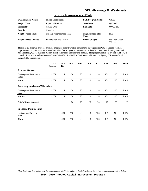#### **Security Improvements - DWF**

| <b>BCL/Program Name:</b>      | <b>Shared Cost Projects</b> | <b>BCL/Program Code:</b>     | C410B                      |
|-------------------------------|-----------------------------|------------------------------|----------------------------|
| <b>Project Type:</b>          | <b>Improved Facility</b>    | <b>Start Date:</b>           | O1/2007                    |
| <b>Project ID:</b>            | C4113-DWF                   | <b>End Date:</b>             | ONGOING                    |
| Location:                     | Citywide                    |                              |                            |
| Neighborhood Plan:            | Not in a Neighborhood Plan  | Neighborhood Plan<br>Matrix: | N/A                        |
| <b>Neighborhood District:</b> | In more than one District   | <b>Urban Village:</b>        | Not in an Urban<br>Village |

This ongoing program provides physical integrated security system components throughout the City of Seattle. Typical improvements may include, but are not limited to, fences, gates, access control card readers, intercoms, lighting, door and hatch contacts, CCTV cameras, motion detection devices, and fiber and conduit. This program enhances protection of SPU's critical infrastructure and addresses vulnerabilities identified in U.S. Environmental Protection Agency (EPA) mandated vulnerability assessments.

|                                        | <b>LTD</b><br><b>Actuals</b> | 2013<br>Rev | 2014 | 2015 | 2016 | 2017 | 2018 | 2019 | <b>Total</b> |
|----------------------------------------|------------------------------|-------------|------|------|------|------|------|------|--------------|
| <b>Revenue Sources</b>                 |                              |             |      |      |      |      |      |      |              |
| Drainage and Wastewater<br>Rates       | 1,061                        | 115         | 178  | 98   | 113  | 128  | 131  | 206  | 2,028        |
| <b>Total:</b>                          | 1,061                        | 115         | 178  | 98   | 113  | 128  | 131  | 206  | 2,028        |
| <b>Fund Appropriations/Allocations</b> |                              |             |      |      |      |      |      |      |              |
| Drainage and Wastewater<br>Fund        | 1,061                        | 115         | 178  | 98   | 113  | 128  | 131  | 206  | 2,028        |
| Total*:                                | 1,061                        | 115         | 178  | 98   | 113  | 128  | 131  | 206  | 2,028        |
| O & M Costs (Savings)                  |                              |             | 20   | 20   | 20   | 20   | 20   | 20   | 122          |
| <b>Spending Plan by Fund</b>           |                              |             |      |      |      |      |      |      |              |
| Drainage and Wastewater<br>Fund        |                              | 224         | 178  | 98   | 113  | 128  | 131  | 206  | 1,076        |
| <b>Total:</b>                          |                              | 224         | 178  | 98   | 113  | 128  | 131  | 206  | 1,076        |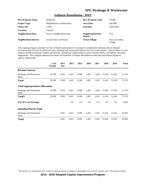#### **Sediment Remediation - DWF**

| <b>BCL/Program Name:</b>      | <b>Sediments</b>                     | <b>BCL/Program Code:</b>     | C350B                      |
|-------------------------------|--------------------------------------|------------------------------|----------------------------|
| <b>Project Type:</b>          | <b>Rehabilitation or Restoration</b> | <b>Start Date:</b>           | O4/2000                    |
| <b>Project ID:</b>            | C <sub>3503</sub>                    | <b>End Date:</b>             | ONGOING                    |
| Location:                     | Various                              |                              |                            |
| Neighborhood Plan:            | Not in a Neighborhood Plan           | Neighborhood Plan<br>Matrix: | N/A                        |
| <b>Neighborhood District:</b> | In more than one District            | <b>Urban Village:</b>        | Not in an Urban<br>Village |

This ongoing program provides for City of Seattle participation in cleanup of contaminated sediment sites at multiple locations across the city for which the City's drainage and wastewater utilities may have some liability. Typical phases of such projects include preliminary studies and analyses, preliminary engineering for actual cleanup efforts, and liability allocation negotiations. This program enhances the natural environment of Seattle and addresses both state and federal regulatory agency requirements.

|                                        | <b>LTD</b><br><b>Actuals</b> | 2013<br>Rev | 2014  | 2015  | 2016  | 2017  | 2018   | 2019   | <b>Total</b> |
|----------------------------------------|------------------------------|-------------|-------|-------|-------|-------|--------|--------|--------------|
| <b>Revenue Sources</b>                 |                              |             |       |       |       |       |        |        |              |
| Drainage and Wastewater<br>Rates       | 35,500                       | 1,934       | 3,423 | 4,396 | 1,491 | 1,410 | 11,610 | 11,610 | 71,374       |
| Total:                                 | 35,500                       | 1,934       | 3,423 | 4,396 | 1,491 | 1,410 | 11,610 | 11,610 | 71,374       |
| <b>Fund Appropriations/Allocations</b> |                              |             |       |       |       |       |        |        |              |
| Drainage and Wastewater<br>Fund        | 35,500                       | 1,934       | 3,423 | 4,396 | 1,491 | 1,410 | 11,610 | 11,610 | 71,374       |
| Total*:                                | 35,500                       | 1,934       | 3,423 | 4,396 | 1,491 | 1,410 | 11,610 | 11,610 | 71,374       |
| $\overline{O}$ & M Costs (Savings)     |                              |             | 714   | 714   | 714   | 714   | 714    | 714    | 4,282        |
| <b>Spending Plan by Fund</b>           |                              |             |       |       |       |       |        |        |              |
| Drainage and Wastewater<br>Fund        |                              | 1,665       | 3,423 | 4,396 | 1,491 | 1,410 | 11,610 | 11,610 | 35,605       |
| <b>Total:</b>                          |                              | 1,665       | 3,423 | 4,396 | 1,491 | 1,410 | 11,610 | 11,610 | 35,605       |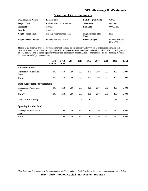#### **Sewer Full Line Replacements**

| <b>BCL/Program Name:</b>      | Rehabilitation                       | <b>BCL/Program Code:</b>     | C370B                             |
|-------------------------------|--------------------------------------|------------------------------|-----------------------------------|
| <b>Project Type:</b>          | <b>Rehabilitation or Restoration</b> | <b>Start Date:</b>           | O1/2001                           |
| <b>Project ID:</b>            | C <sub>3702</sub>                    | <b>End Date:</b>             | ONGOING                           |
| <b>Location:</b>              | Citywide                             |                              |                                   |
| Neighborhood Plan:            | Not in a Neighborhood Plan           | Neighborhood Plan<br>Matrix: | N/A                               |
| <b>Neighborhood District:</b> | In more than one District            | <b>Urban Village:</b>        | In more than one<br>Urban Village |

This ongoing program provides for replacement of existing sewer lines citywide with pipes of the same diameter and capacity. Closed circuit television inspections identify defects in sewer mainlines, and each mainline defect is catalogued in an SPU database and assigned a priority that reflects the urgency of repair. Replacement is done by pipe-bursting methods that avoid extended pavement cutting.

|                                        | <b>LTD</b><br><b>Actuals</b> | 2013<br><b>Rev</b> | 2014 | 2015 | 2016 | 2017 | 2018 | 2019 | <b>Total</b> |
|----------------------------------------|------------------------------|--------------------|------|------|------|------|------|------|--------------|
| <b>Revenue Sources</b>                 |                              |                    |      |      |      |      |      |      |              |
| Drainage and Wastewater<br>Rates       | 349                          | 250                | 250  | 250  | 250  | 250  | 250  | 250  | 2,099        |
| Total:                                 | 349                          | 250                | 250  | 250  | 250  | 250  | 250  | 250  | 2,099        |
| <b>Fund Appropriations/Allocations</b> |                              |                    |      |      |      |      |      |      |              |
| Drainage and Wastewater<br>Fund        | 349                          | 250                | 250  | 250  | 250  | 250  | 250  | 250  | 2,099        |
| Total*:                                | 349                          | 250                | 250  | 250  | 250  | 250  | 250  | 250  | 2,099        |
| $\overline{O}$ & M Costs (Savings)     |                              |                    | 21   | 21   | 21   | 21   | 21   | 21   | 126          |
| <b>Spending Plan by Fund</b>           |                              |                    |      |      |      |      |      |      |              |
| Drainage and Wastewater<br>Fund        |                              | 100                | 250  | 250  | 250  | 250  | 250  | 250  | 1,600        |
| <b>Total:</b>                          |                              | 100                | 250  | 250  | 250  | 250  | 250  | 250  | 1,600        |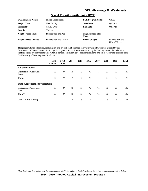#### **Sound Transit - North Link - DWF**

| <b>BCL/Program Name:</b>      | <b>Shared Cost Projects</b> | <b>BCL/Program Code:</b>     | C410B                             |
|-------------------------------|-----------------------------|------------------------------|-----------------------------------|
| <b>Project Type:</b>          | New Facility                | <b>Start Date:</b>           | O1/2012                           |
| <b>Project ID:</b>            | C4135-DWF                   | <b>End Date:</b>             | O4/2020                           |
| <b>Location:</b>              | Various                     |                              |                                   |
| <b>Neighborhood Plan:</b>     | In more than one Plan       | Neighborhood Plan<br>Matrix: |                                   |
| <b>Neighborhood District:</b> | In more than one District   | <b>Urban Village:</b>        | In more than one<br>Urban Village |

This program funds relocation, replacement, and protection of drainage and wastewater infrastructure affected by the development of Sound Transit's Link Light Rail System. Sound Transit is constructing the third segment of their electrical light rail transit system that includes 4.3 mile light rail extension, three additional stations, and other supporting facilities from the University of Washington to Northgate.

|                                        | <b>LTD</b><br><b>Actuals</b> | 2013<br>Rev | 2014 | 2015 | 2016 | 2017 | 2018 | 2019 | <b>Total</b> |
|----------------------------------------|------------------------------|-------------|------|------|------|------|------|------|--------------|
| <b>Revenue Sources</b>                 |                              |             |      |      |      |      |      |      |              |
| Drainage and Wastewater<br>Rates       | 58                           | 87          | 75   | 75   | 75   | 75   | 50   | 50   | 545          |
| <b>Total:</b>                          | 58                           | 87          | 75   | 75   | 75   | 75   | 50   | 50   | 545          |
| <b>Fund Appropriations/Allocations</b> |                              |             |      |      |      |      |      |      |              |
| Drainage and Wastewater<br>Fund        | 58                           | 87          | 75   | 75   | 75   | 75   | 50   | 50   | 545          |
| Total*:                                | 58                           | 87          | 75   | 75   | 75   | 75   | 50   | 50   | 545          |
| O & M Costs (Savings)                  |                              |             | 5    | 5    | 5    | 5    | 5    | 5    | 33           |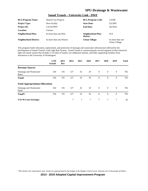#### **Sound Transit – University Link - DWF**

| <b>BCL/Program Name:</b>      | <b>Shared Cost Projects</b> | <b>BCL/Program Code:</b>     | C410B                             |
|-------------------------------|-----------------------------|------------------------------|-----------------------------------|
| <b>Project Type:</b>          | New Facility                | <b>Start Date:</b>           | O1/2007                           |
| <b>Project ID:</b>            | C4110-DWF                   | <b>End Date:</b>             | O <sub>2</sub> /2016              |
| <b>Location:</b>              | Various                     |                              |                                   |
| Neighborhood Plan:            | In more than one Plan       | Neighborhood Plan<br>Matrix: | N/A                               |
| <b>Neighborhood District:</b> | In more than one District   | <b>Urban Village:</b>        | In more than one<br>Urban Village |

This program funds relocation, replacement, and protection of drainage and wastewater infrastructure affected by the development of Sound Transit's Link Light Rail System. Sound Transit is constructing the second segment of their electrical light rail transit system that includes 3.15 miles of tunnel, two additional stations, and other supporting facilities from downtown to the University of Washington.

|                                        | <b>LTD</b><br><b>Actuals</b> | 2013<br>Rev | 2014           | 2015 | 2016   | 2017           | 2018           | 2019           | <b>Total</b> |
|----------------------------------------|------------------------------|-------------|----------------|------|--------|----------------|----------------|----------------|--------------|
| <b>Revenue Sources</b>                 |                              |             |                |      |        |                |                |                |              |
| Drainage and Wastewater<br>Rates       | 334                          | 191         | 127            | 41   | 10     | $\overline{0}$ | $\overline{0}$ | $\overline{0}$ | 702          |
| <b>Total:</b>                          | 334                          | 191         | 127            | 41   | 10     | $\overline{0}$ | $\theta$       | $\theta$       | 702          |
| <b>Fund Appropriations/Allocations</b> |                              |             |                |      |        |                |                |                |              |
| Drainage and Wastewater<br>Fund        | 334                          | 191         | 127            | 41   | 10     | $\overline{0}$ | $\overline{0}$ | $\overline{0}$ | 702          |
| Total*:                                | 334                          | 191         | 127            | 41   | 10     | $\theta$       | $\overline{0}$ | $\mathbf{0}$   | 702          |
| O & M Costs (Savings)                  |                              |             | $\overline{7}$ | 7    | $\tau$ | $\tau$         | 7              | $\tau$         | 42           |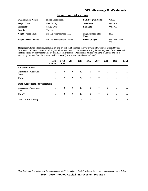#### **Sound Transit-East Link**

| <b>BCL/Program Name:</b>      | <b>Shared Cost Projects</b>    | <b>BCL/Program Code:</b>     | C410B                      |
|-------------------------------|--------------------------------|------------------------------|----------------------------|
| <b>Project Type:</b>          | New Facility                   | <b>Start Date:</b>           | Q2/2013                    |
| <b>Project ID:</b>            | $C4122-DWF$                    | <b>End Date:</b>             | O4/2015                    |
| Location:                     | Various                        |                              |                            |
| Neighborhood Plan:            | Not in a Neighborhood Plan     | Neighborhood Plan<br>Matrix: | N/A                        |
| <b>Neighborhood District:</b> | Not in a Neighborhood District | <b>Urban Village:</b>        | Not in an Urban<br>Village |

This program funds relocation, replacement, and protection of drainage and wastewater infrastructure affected by the development of Sound Transit's Link Light Rail System. Sound Transit is constructing the next segment of their electrical light rail transit system that includes 14 mile light rail extension, 10 additional stations total (one in Seattle) and other supporting facilities from the International District (ID) across I-90 to Bellevue/Redmond.

|                                        | <b>LTD</b><br><b>Actuals</b> | 2013<br>Rev    | 2014 | 2015 | 2016           | 2017           | 2018           | 2019           | <b>Total</b> |
|----------------------------------------|------------------------------|----------------|------|------|----------------|----------------|----------------|----------------|--------------|
| <b>Revenue Sources</b>                 |                              |                |      |      |                |                |                |                |              |
| Drainage and Wastewater<br>Rates       | $\overline{0}$               | $\overline{0}$ | 40   | 15   | $\overline{0}$ | $\overline{0}$ | $\overline{0}$ | $\overline{0}$ | 55           |
| <b>Total:</b>                          | $\overline{0}$               | $\theta$       | 40   | 15   | $\overline{0}$ | $\overline{0}$ | $\mathbf{0}$   | $\mathbf{0}$   | 55           |
| <b>Fund Appropriations/Allocations</b> |                              |                |      |      |                |                |                |                |              |
| Drainage and Wastewater<br>Fund        | $\mathbf{0}$                 | $\mathbf{0}$   | 40   | 15   | $\overline{0}$ | $\overline{0}$ | $\theta$       | $\overline{0}$ | 55           |
| Total*:                                | $\theta$                     | $\theta$       | 40   | 15   | $\theta$       | $\theta$       | $\overline{0}$ | $\mathbf{0}$   | 55           |
| $\overline{O}$ & M Costs (Savings)     |                              |                | 1    | 1    | 1              | $\mathbf{1}$   | $\mathbf{1}$   | 1              | 3            |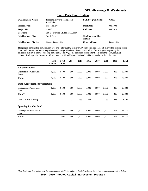#### **South Park Pump Station**

| <b>BCL/Program Name:</b>      | Flooding, Sewer Back-up, and<br>Landslides | <b>BCL/Program Code:</b>     | <b>C380B</b> |
|-------------------------------|--------------------------------------------|------------------------------|--------------|
| <b>Project Type:</b>          | New Facility                               | <b>Start Date:</b>           | O3/2008      |
| <b>Project ID:</b>            | C <sub>3806</sub>                          | <b>End Date:</b>             | O4/2019      |
| Location:                     | 698 S Riverside DR/Holden/Austin           |                              |              |
| Neighborhood Plan:            | South Park                                 | Neighborhood Plan<br>Matrix: |              |
| <b>Neighborhood District:</b> | Greater Duwamish                           | <b>Urban Village:</b>        | Duwamish     |

This project constructs a pump station (PS) and water quality facility (WQF) in South Park. The PS allows the existing storm drain trunk to meet the 2004 Comprehensive Drainage Plan level of service and allows future projects expanding the collection system to address flooding complaints. The WQF will treat most stormwater flows from the basin, reducing pollutant loading to the Duwamish. Flows over 11 CFS will bypass the WQF and be pumped directly to the river.

|                                        | <b>LTD</b><br><b>Actuals</b> | 2013<br>Rev | 2014 | 2015  | 2016  | 2017  | 2018  | 2019 | <b>Total</b> |
|----------------------------------------|------------------------------|-------------|------|-------|-------|-------|-------|------|--------------|
| <b>Revenue Sources</b>                 |                              |             |      |       |       |       |       |      |              |
| Drainage and Wastewater<br>Rates       | 6,030                        | 4,500       | 500  | 1,500 | 3,000 | 4,000 | 3,500 | 308  | 23,339       |
| Total:                                 | 6,030                        | 4,500       | 500  | 1,500 | 3,000 | 4,000 | 3,500 | 308  | 23,339       |
| <b>Fund Appropriations/Allocations</b> |                              |             |      |       |       |       |       |      |              |
| Drainage and Wastewater<br>Fund        | 6,030                        | 4,500       | 500  | 1,500 | 3,000 | 4,000 | 3,500 | 308  | 23,339       |
| Total*:                                | 6,030                        | 4,500       | 500  | 1,500 | 3,000 | 4,000 | 3,500 | 308  | 23,339       |
| $\overline{O}$ & M Costs (Savings)     |                              |             | 233  | 233   | 233   | 233   | 233   | 233  | 1,400        |
| <b>Spending Plan by Fund</b>           |                              |             |      |       |       |       |       |      |              |
| Drainage and Wastewater<br>Fund        |                              | 662         | 500  | 1,500 | 3,000 | 4,000 | 3,500 | 308  | 13,471       |
| <b>Total:</b>                          |                              | 662         | 500  | 1,500 | 3,000 | 4,000 | 3,500 | 308  | 13,471       |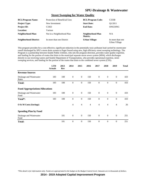#### **Street Sweeping for Water Quality**

| <b>BCL/Program Name:</b>      | Protection of Beneficial Uses | <b>BCL/Program Code:</b>     | C333B                             |
|-------------------------------|-------------------------------|------------------------------|-----------------------------------|
| <b>Project Type:</b>          | New Investment                | <b>Start Date:</b>           | O1/2011                           |
| <b>Project ID:</b>            | C <sub>3363</sub>             | <b>End Date:</b>             | ONGOING                           |
| <b>Location:</b>              | Various                       |                              |                                   |
| Neighborhood Plan:            | Not in a Neighborhood Plan    | Neighborhood Plan<br>Matrix: | N/A                               |
| <b>Neighborhood District:</b> | In more than one District     | <b>Urban Village:</b>        | In more than one<br>Urban Village |

This program provides for a cost-effective, significant reduction in the potentially toxic pollutant load carried by stormwater runoff discharged by SPU's storm drain system to Puget Sound using new, high efficiency street sweeping technology. The Program is a partnership between Seattle Public Utilities, who sets the program direction, provides water quality expertise, and funding for the portion of routes that drain to the municipal separate storm sewer system (MS4), which discharges directly to our receiving waters and Seattle Department of Transportation, who provides operational expertise, street sweeping services, and funding for the portion of the routes that drain to the combined sewer system (CSS).

|                                        | <b>LTD</b><br><b>Actuals</b> | 2013<br>Rev | 2014           | 2015             | 2016           | 2017           | 2018           | 2019             | <b>Total</b> |
|----------------------------------------|------------------------------|-------------|----------------|------------------|----------------|----------------|----------------|------------------|--------------|
| <b>Revenue Sources</b>                 |                              |             |                |                  |                |                |                |                  |              |
| Drainage and Wastewater<br>Rates       | 183                          | 100         | $\mathbf{0}$   | $\mathbf{0}$     | 150            | $\mathbf{0}$   | $\mathbf{0}$   | $\mathbf{0}$     | 433          |
| <b>Total:</b>                          | 183                          | 100         | $\mathbf{0}$   | $\mathbf{0}$     | 150            | $\mathbf{0}$   | $\mathbf{0}$   | $\boldsymbol{0}$ | 433          |
| <b>Fund Appropriations/Allocations</b> |                              |             |                |                  |                |                |                |                  |              |
| Drainage and Wastewater<br>Fund        | 183                          | 100         | $\theta$       | $\theta$         | 150            | $\overline{0}$ | $\mathbf{0}$   | $\mathbf{0}$     | 433          |
| Total*:                                | 183                          | 100         | $\mathbf{0}$   | $\boldsymbol{0}$ | 150            | $\theta$       | $\overline{0}$ | $\overline{0}$   | 433          |
| O & M Costs (Savings)                  |                              |             | $\overline{4}$ | $\overline{4}$   | $\overline{4}$ | $\overline{4}$ | $\overline{4}$ | $\overline{4}$   | 26           |
| <b>Spending Plan by Fund</b>           |                              |             |                |                  |                |                |                |                  |              |
| Drainage and Wastewater<br>Fund        |                              | 101         | $\mathbf{0}$   | $\mathbf{0}$     | 150            | $\mathbf{0}$   | $\mathbf{0}$   | $\boldsymbol{0}$ | 251          |
| <b>Total:</b>                          |                              | 101         | $\theta$       | $\theta$         | 150            | $\theta$       | $\mathbf{0}$   | $\overline{0}$   | 251          |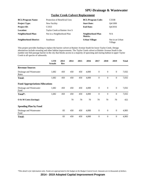#### **Taylor Creek Culvert Replacement**

| <b>BCL/Program Name:</b>      | Protection of Beneficial Uses | <b>BCL/Program Code:</b>     | C333B                      |
|-------------------------------|-------------------------------|------------------------------|----------------------------|
| <b>Project Type:</b>          | New Facility                  | <b>Start Date:</b>           | O4/1999                    |
| <b>Project ID:</b>            | C <sub>3353</sub>             | <b>End Date:</b>             | O4/2016                    |
| Location:                     | Taylor Creek at Rainier Ave S |                              |                            |
| Neighborhood Plan:            | Not in a Neighborhood Plan    | Neighborhood Plan<br>Matrix: | N/A                        |
| <b>Neighborhood District:</b> | <b>Southeast</b>              | <b>Urban Village:</b>        | Not in an Urban<br>Village |

This project provides funding to replace the barrier culvert at Rainier Avenue South for lower Taylor Creek. Design alternatives include rerouting and other habitat improvements. The Taylor Creek culvert at Rainier Avenue South is the number one fish-passage barrier in the city that blocks access to a majority of spawning and rearing habitat in upper Taylor Creek to all species of salmonids.

|                                        | <b>LTD</b><br><b>Actuals</b> | 2013<br>Rev | 2014 | 2015 | 2016  | 2017           | 2018         | 2019         | <b>Total</b> |
|----------------------------------------|------------------------------|-------------|------|------|-------|----------------|--------------|--------------|--------------|
| <b>Revenue Sources</b>                 |                              |             |      |      |       |                |              |              |              |
| Drainage and Wastewater<br>Rates       | 1,682                        | 450         | 450  | 450  | 4,000 | $\mathbf{0}$   | $\mathbf{0}$ | $\mathbf{0}$ | 7,032        |
| <b>Total:</b>                          | 1,682                        | 450         | 450  | 450  | 4,000 | $\mathbf{0}$   | $\mathbf{0}$ | $\mathbf{0}$ | 7,032        |
| <b>Fund Appropriations/Allocations</b> |                              |             |      |      |       |                |              |              |              |
| Drainage and Wastewater<br>Fund        | 1,682                        | 450         | 450  | 450  | 4,000 | $\overline{0}$ | $\mathbf{0}$ | $\mathbf{0}$ | 7,032        |
| Total*:                                | 1,682                        | 450         | 450  | 450  | 4,000 | $\theta$       | $\mathbf{0}$ | $\mathbf{0}$ | 7,032        |
| O & M Costs (Savings)                  |                              |             | 70   | 70   | 70    | 70             | 70           | 70           | 422          |
| <b>Spending Plan by Fund</b>           |                              |             |      |      |       |                |              |              |              |
| Drainage and Wastewater<br>Fund        |                              | 83          | 450  | 450  | 4,000 | $\theta$       | $\Omega$     | $\mathbf{0}$ | 4,983        |
| <b>Total:</b>                          |                              | 83          | 450  | 450  | 4,000 | $\theta$       | $\theta$     | $\mathbf{0}$ | 4,983        |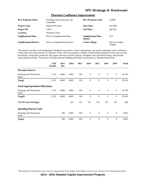| <b>BCL/Program Name:</b>      | Flooding, Sewer Back-up, and<br>Landslides | <b>BCL/Program Code:</b>     | C380B                      |
|-------------------------------|--------------------------------------------|------------------------------|----------------------------|
| <b>Project Type:</b>          | <b>Improved Facility</b>                   | <b>Start Date:</b>           | O1/2008                    |
| <b>Project ID:</b>            | C <sub>3811</sub>                          | <b>End Date:</b>             | O <sub>4</sub> /2015       |
| Location:                     | <b>Thornton Creek</b>                      |                              |                            |
| Neighborhood Plan:            | Not in a Neighborhood Plan                 | Neighborhood Plan<br>Matrix: | N/A                        |
| <b>Neighborhood District:</b> | Not in a Neighborhood District             | Urban Village:               | Not in an Urban<br>Village |

#### **Thornton Confluence Improvement**

This project provides creek realignment, floodplain excavation, culvert replacement, and riparian plantings at the confluence of the north and south branches of Thornton Creek. SPU has acquired a number of flood prone properties in this area over the last decade. Using these properties, this project increases culvert capacity, floodplain area and flood storage, and provides stream habitat benefits. The project will help alleviate flooding and reduce maintenance at Meadowbrook Pond.

|                                        | <b>LTD</b><br><b>Actuals</b> | 2013<br>Rev | 2014  | 2015 | 2016         | 2017           | 2018         | 2019             | <b>Total</b> |
|----------------------------------------|------------------------------|-------------|-------|------|--------------|----------------|--------------|------------------|--------------|
| <b>Revenue Sources</b>                 |                              |             |       |      |              |                |              |                  |              |
| Drainage and Wastewater<br>Rates       | 1,525                        | 4,000       | 4,085 | 530  | $\mathbf{0}$ | $\mathbf{0}$   | $\mathbf{0}$ | $\mathbf{0}$     | 10,140       |
| <b>Total:</b>                          | 1,525                        | 4,000       | 4,085 | 530  | $\mathbf{0}$ | $\mathbf{0}$   | $\mathbf{0}$ | $\boldsymbol{0}$ | 10,140       |
| <b>Fund Appropriations/Allocations</b> |                              |             |       |      |              |                |              |                  |              |
| Drainage and Wastewater<br>Fund        | 1,525                        | 4,000       | 4,085 | 530  | $\mathbf{0}$ | $\overline{0}$ | $\mathbf{0}$ | $\mathbf{0}$     | 10,140       |
| Total*:                                | 1,525                        | 4,000       | 4,085 | 530  | $\theta$     | $\theta$       | $\theta$     | $\mathbf{0}$     | 10,140       |
| $\overline{O}$ & M Costs (Savings)     |                              |             | 101   | 101  | 101          | 101            | 101          | 101              | 608          |
| <b>Spending Plan by Fund</b>           |                              |             |       |      |              |                |              |                  |              |
| Drainage and Wastewater<br>Fund        |                              | 290         | 4,085 | 530  | $\mathbf{0}$ | $\Omega$       | $\mathbf{0}$ | $\mathbf{0}$     | 4,905        |
| <b>Total:</b>                          |                              | 290         | 4,085 | 530  | $\theta$     | $\theta$       | $\theta$     | $\overline{0}$   | 4,905        |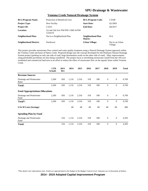| <b>BCL/Program Name:</b>      | Protection of Beneficial Uses                 | <b>BCL/Program Code:</b>     | C333B                      |
|-------------------------------|-----------------------------------------------|------------------------------|----------------------------|
| <b>Project Type:</b>          | New Facility                                  | <b>Start Date:</b>           | O <sub>1</sub> /2003       |
| <b>Project ID:</b>            | C <sub>3</sub> 333                            | <b>End Date:</b>             | O4/2017                    |
| Location:                     | 1st and 2nd Ave NW/NW 120th St/NW<br>122nd St |                              |                            |
| <b>Neighborhood Plan:</b>     | Not in a Neighborhood Plan                    | Neighborhood Plan<br>Matrix: | N/A                        |
| <b>Neighborhood District:</b> | <b>Northwest</b>                              | <b>Urban Village:</b>        | Not in an Urban<br>Village |

#### **Venema Creek Natural Drainage System**

This project provides stormwater flow control and water quality treatment using a Natural Drainage System approach within the Venema Creek sub basin of Pipers Creek. Proposed design uses the concept developed for the Pinehurst Natural Drainage System project (parking on only one side of road, large bioretention swale on the other side of road). Alley improvements using permeable pavements are also being considered. The project focus is retrofitting stormwater runoff from the 105-acre residential and commercial land area in an effort to reduce the effect of stormwater flow on the aquatic biota within Venema Creek.

|                                        | <b>LTD</b><br><b>Actuals</b> | 2013<br>Rev | 2014  | 2015  | 2016 | 2017 | 2018         | 2019             | <b>Total</b> |
|----------------------------------------|------------------------------|-------------|-------|-------|------|------|--------------|------------------|--------------|
| <b>Revenue Sources</b>                 |                              |             |       |       |      |      |              |                  |              |
| Drainage and Wastewater<br>Rates       | 2,260                        | 650         | 1,116 | 2,316 | 318  | 108  | $\mathbf{0}$ | $\mathbf{0}$     | 6,769        |
| <b>Total:</b>                          | 2,260                        | 650         | 1,116 | 2,316 | 318  | 108  | $\theta$     | $\boldsymbol{0}$ | 6,769        |
| <b>Fund Appropriations/Allocations</b> |                              |             |       |       |      |      |              |                  |              |
| Drainage and Wastewater<br>Fund        | 2,260                        | 650         | 1,116 | 2,316 | 318  | 108  | $\theta$     | $\overline{0}$   | 6,769        |
| Total*:                                | 2,260                        | 650         | 1,116 | 2,316 | 318  | 108  | $\mathbf{0}$ | $\boldsymbol{0}$ | 6,769        |
| $\overline{O}$ & M Costs (Savings)     |                              |             | 68    | 68    | 68   | 68   | 68           | 68               | 406          |
| <b>Spending Plan by Fund</b>           |                              |             |       |       |      |      |              |                  |              |
| Drainage and Wastewater<br>Fund        |                              | 534         | 1,116 | 2,316 | 318  | 108  | $\theta$     | $\mathbf{0}$     | 4,393        |
| <b>Total:</b>                          |                              | 534         | 1,116 | 2,316 | 318  | 108  | $\mathbf{0}$ | $\theta$         | 4,393        |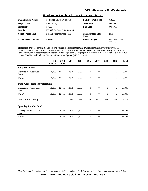#### **Windermere Combined Sewer Overflow Storage**

| <b>BCL/Program Name:</b>      | <b>Combined Sewer Overflows</b> | <b>BCL/Program Code:</b>     | C360B                      |
|-------------------------------|---------------------------------|------------------------------|----------------------------|
| <b>Project Type:</b>          | New Facility                    | <b>Start Date:</b>           | O <sub>2</sub> /2002       |
| <b>Project ID:</b>            | C <sub>3605</sub>               | <b>End Date:</b>             | O4/2015                    |
| Location:                     | NE 65th St./Sand Point Way NE   |                              |                            |
| <b>Neighborhood Plan:</b>     | Not in a Neighborhood Plan      | Neighborhood Plan<br>Matrix: | N/A                        |
| <b>Neighborhood District:</b> | <b>Northeast</b>                | <b>Urban Village:</b>        | Not in an Urban<br>Village |

This project provides construction of off-line storage and best management practice combined sewer overflow (CSO) facilities in the Windermere area in the northeast part of Seattle. Facilities will be built to meet water quality standards for Lake Washington in accordance with state and federal regulations. The project also intends to meet requirements of the City's current CSO National Pollutant Discharge Elimination System (NPDES) permit.

|                                        | <b>LTD</b><br><b>Actuals</b> | 2013<br>Rev | 2014   | 2015  | 2016         | 2017           | 2018           | 2019         | <b>Total</b> |
|----------------------------------------|------------------------------|-------------|--------|-------|--------------|----------------|----------------|--------------|--------------|
| <b>Revenue Sources</b>                 |                              |             |        |       |              |                |                |              |              |
| Drainage and Wastewater<br>Rates       | 18,860                       | 22,566      | 12,915 | 1,500 | $\mathbf{0}$ | $\overline{0}$ | $\mathbf{0}$   | $\mathbf{0}$ | 55,841       |
| Total:                                 | 18,860                       | 22,566      | 12,915 | 1,500 | $\mathbf{0}$ | $\theta$       | $\theta$       | $\mathbf{0}$ | 55,841       |
| <b>Fund Appropriations/Allocations</b> |                              |             |        |       |              |                |                |              |              |
| Drainage and Wastewater<br>Fund        | 18,860                       | 22,566      | 12,915 | 1,500 | $\mathbf{0}$ | $\mathbf{0}$   | $\mathbf{0}$   | $\mathbf{0}$ | 55,841       |
| Total*:                                | 18,860                       | 22,566      | 12,915 | 1,500 | $\mathbf{0}$ | $\mathbf{0}$   | $\mathbf{0}$   | $\mathbf{0}$ | 55,841       |
| $\overline{O}$ & M Costs (Savings)     |                              |             | 558    | 558   | 558          | 558            | 558            | 558          | 3,350        |
| <b>Spending Plan by Fund</b>           |                              |             |        |       |              |                |                |              |              |
| Drainage and Wastewater<br>Fund        |                              | 18,748      | 12,915 | 1,500 | $\mathbf{0}$ | $\theta$       | $\mathbf{0}$   | $\mathbf{0}$ | 33,163       |
| <b>Total:</b>                          |                              | 18,748      | 12,915 | 1,500 | $\theta$     | $\theta$       | $\overline{0}$ | $\mathbf{0}$ | 33,163       |